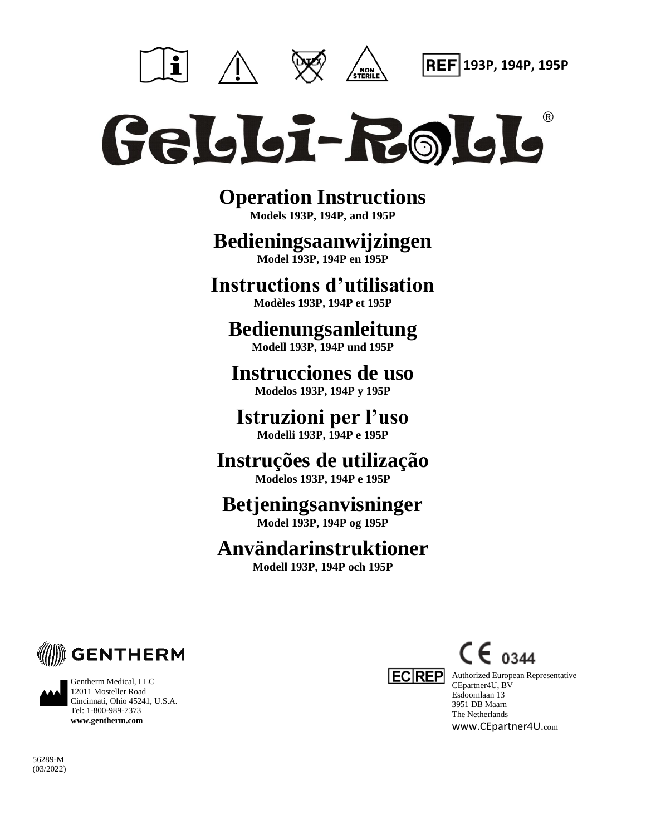



**193P, 194P, 195P**

# Geldloi-Roldlo

**Operation Instructions Models 193P, 194P, and 195P**

# **Bedieningsaanwijzingen**

**Model 193P, 194P en 195P**

## **Instructions d'utilisation**

**Modèles 193P, 194P et 195P**

## **Bedienungsanleitung Modell 193P, 194P und 195P**

**Instrucciones de uso Modelos 193P, 194P y 195P**

**Istruzioni per l'uso Modelli 193P, 194P e 195P**

# **Instruções de utilização**

**Modelos 193P, 194P e 195P**

# **Betjeningsanvisninger**

**Model 193P, 194P og 195P**

# **Användarinstruktioner**

**Modell 193P, 194P och 195P**



Gentherm Medical, LLC 12011 Mosteller Road Cincinnati, Ohio 45241, U.S.A. Tel: 1-800-989-7373 **www.gentherm.com**



 $C \epsilon_{0344}$ 

**EC REP** Authorized European Representative CEpartner4U, BV Esdoornlaan 13 3951 DB Maarn The Netherlands www.CEpartner4U.com

56289-M (03/2022)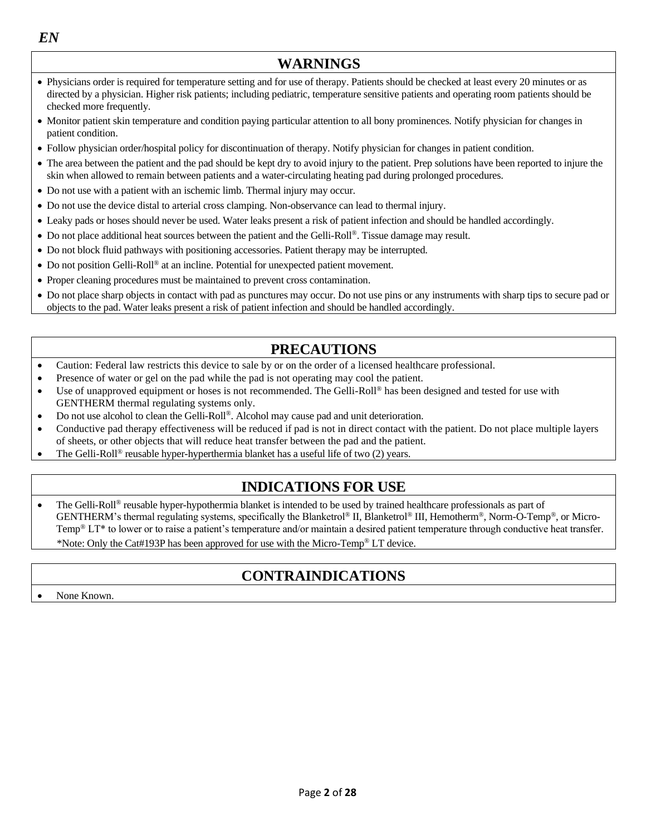*EN*

## **WARNINGS**

- Physicians order is required for temperature setting and for use of therapy. Patients should be checked at least every 20 minutes or as directed by a physician. Higher risk patients; including pediatric, temperature sensitive patients and operating room patients should be checked more frequently.
- Monitor patient skin temperature and condition paying particular attention to all bony prominences. Notify physician for changes in patient condition.
- Follow physician order/hospital policy for discontinuation of therapy. Notify physician for changes in patient condition.
- The area between the patient and the pad should be kept dry to avoid injury to the patient. Prep solutions have been reported to injure the skin when allowed to remain between patients and a water-circulating heating pad during prolonged procedures.
- Do not use with a patient with an ischemic limb. Thermal injury may occur.
- Do not use the device distal to arterial cross clamping. Non-observance can lead to thermal injury.
- Leaky pads or hoses should never be used. Water leaks present a risk of patient infection and should be handled accordingly.
- Do not place additional heat sources between the patient and the Gelli-Roll®. Tissue damage may result.
- Do not block fluid pathways with positioning accessories. Patient therapy may be interrupted.
- Do not position Gelli-Roll® at an incline. Potential for unexpected patient movement.
- Proper cleaning procedures must be maintained to prevent cross contamination.
- Do not place sharp objects in contact with pad as punctures may occur. Do not use pins or any instruments with sharp tips to secure pad or objects to the pad. Water leaks present a risk of patient infection and should be handled accordingly.

## **PRECAUTIONS**

- Caution: Federal law restricts this device to sale by or on the order of a licensed healthcare professional.
- Presence of water or gel on the pad while the pad is not operating may cool the patient.
- Use of unapproved equipment or hoses is not recommended. The Gelli-Roll<sup>®</sup> has been designed and tested for use with GENTHERM thermal regulating systems only.
- Do not use alcohol to clean the Gelli-Roll®. Alcohol may cause pad and unit deterioration.
- Conductive pad therapy effectiveness will be reduced if pad is not in direct contact with the patient. Do not place multiple layers of sheets, or other objects that will reduce heat transfer between the pad and the patient.
- The Gelli-Roll® reusable hyper-hyperthermia blanket has a useful life of two (2) years.

## **INDICATIONS FOR USE**

• The Gelli-Roll® reusable hyper-hypothermia blanket is intended to be used by trained healthcare professionals as part of GENTHERM's thermal regulating systems, specifically the Blanketrol® II, Blanketrol® III, Hemotherm®, Norm-O-Temp®, or Micro-Temp® LT\* to lower or to raise a patient's temperature and/or maintain a desired patient temperature through conductive heat transfer. \*Note: Only the Cat#193P has been approved for use with the Micro-Temp® LT device.

## **CONTRAINDICATIONS**

• None Known.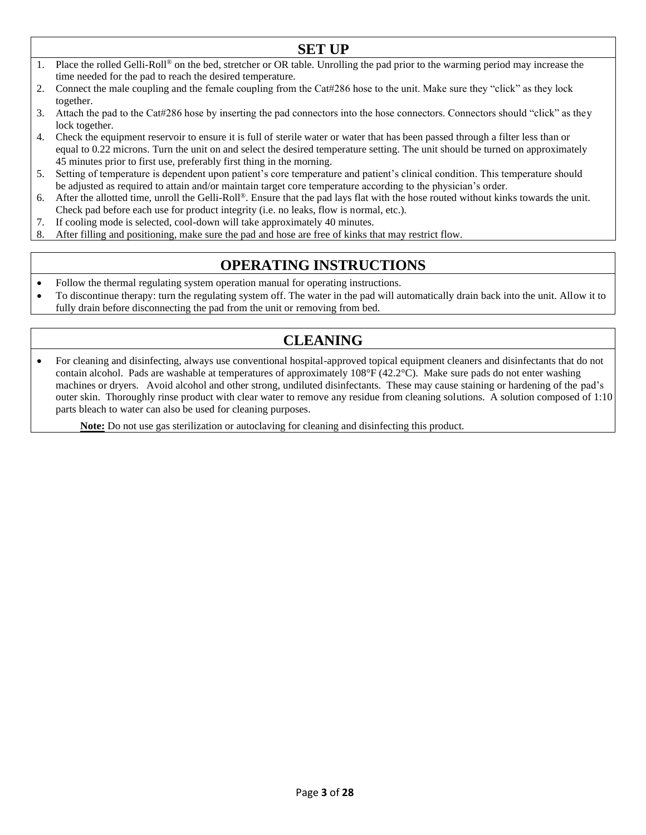- **SET UP** 1. Place the rolled Gelli-Roll® on the bed, stretcher or OR table. Unrolling the pad prior to the warming period may increase the time needed for the pad to reach the desired temperature.
- 2. Connect the male coupling and the female coupling from the Cat#286 hose to the unit. Make sure they "click" as they lock together.
- 3. Attach the pad to the Cat#286 hose by inserting the pad connectors into the hose connectors. Connectors should "click" as they lock together.
- 4. Check the equipment reservoir to ensure it is full of sterile water or water that has been passed through a filter less than or equal to 0.22 microns. Turn the unit on and select the desired temperature setting. The unit should be turned on approximately 45 minutes prior to first use, preferably first thing in the morning.
- 5. Setting of temperature is dependent upon patient's core temperature and patient's clinical condition. This temperature should be adjusted as required to attain and/or maintain target core temperature according to the physician's order.
- 6. After the allotted time, unroll the Gelli-Roll®. Ensure that the pad lays flat with the hose routed without kinks towards the unit. Check pad before each use for product integrity (i.e. no leaks, flow is normal, etc.).
- 7. If cooling mode is selected, cool-down will take approximately 40 minutes.
- 8. After filling and positioning, make sure the pad and hose are free of kinks that may restrict flow.

## **OPERATING INSTRUCTIONS**

- Follow the thermal regulating system operation manual for operating instructions.
- To discontinue therapy: turn the regulating system off. The water in the pad will automatically drain back into the unit. Allow it to fully drain before disconnecting the pad from the unit or removing from bed.

## **CLEANING**

• For cleaning and disinfecting, always use conventional hospital-approved topical equipment cleaners and disinfectants that do not contain alcohol. Pads are washable at temperatures of approximately  $108^{\circ}F(42.2^{\circ}C)$ . Make sure pads do not enter washing machines or dryers. Avoid alcohol and other strong, undiluted disinfectants. These may cause staining or hardening of the pad's outer skin. Thoroughly rinse product with clear water to remove any residue from cleaning solutions. A solution composed of 1:10 parts bleach to water can also be used for cleaning purposes.

**Note:** Do not use gas sterilization or autoclaving for cleaning and disinfecting this product.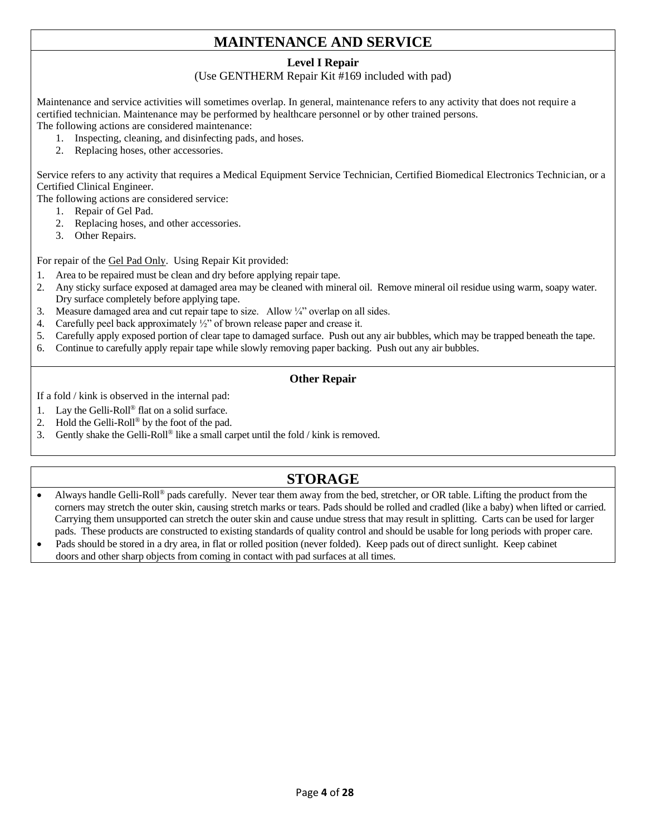## **MAINTENANCE AND SERVICE**

#### **Level I Repair**

(Use GENTHERM Repair Kit #169 included with pad)

Maintenance and service activities will sometimes overlap. In general, maintenance refers to any activity that does not require a certified technician. Maintenance may be performed by healthcare personnel or by other trained persons. The following actions are considered maintenance:

- 1. Inspecting, cleaning, and disinfecting pads, and hoses.
- 2. Replacing hoses, other accessories.

Service refers to any activity that requires a Medical Equipment Service Technician, Certified Biomedical Electronics Technician, or a Certified Clinical Engineer.

The following actions are considered service:

- 1. Repair of Gel Pad.
- 2. Replacing hoses, and other accessories.
- 3. Other Repairs.

For repair of the Gel Pad Only. Using Repair Kit provided:

- Area to be repaired must be clean and dry before applying repair tape.
- 2. Any sticky surface exposed at damaged area may be cleaned with mineral oil. Remove mineral oil residue using warm, soapy water. Dry surface completely before applying tape.
- 3. Measure damaged area and cut repair tape to size. Allow  $\frac{1}{4}$  overlap on all sides.
- 4. Carefully peel back approximately ½" of brown release paper and crease it.
- 5. Carefully apply exposed portion of clear tape to damaged surface. Push out any air bubbles, which may be trapped beneath the tape.
- 6. Continue to carefully apply repair tape while slowly removing paper backing. Push out any air bubbles.

#### **Other Repair**

If a fold / kink is observed in the internal pad:

- 1. Lay the Gelli-Roll® flat on a solid surface.
- 2. Hold the Gelli-Roll® by the foot of the pad.
- 3. Gently shake the Gelli-Roll® like a small carpet until the fold / kink is removed.

## **STORAGE**

- Always handle Gelli-Roll<sup>®</sup> pads carefully. Never tear them away from the bed, stretcher, or OR table. Lifting the product from the corners may stretch the outer skin, causing stretch marks or tears. Pads should be rolled and cradled (like a baby) when lifted or carried. Carrying them unsupported can stretch the outer skin and cause undue stress that may result in splitting. Carts can be used for larger pads. These products are constructed to existing standards of quality control and should be usable for long periods with proper care.
- Pads should be stored in a dry area, in flat or rolled position (never folded). Keep pads out of direct sunlight. Keep cabinet doors and other sharp objects from coming in contact with pad surfaces at all times.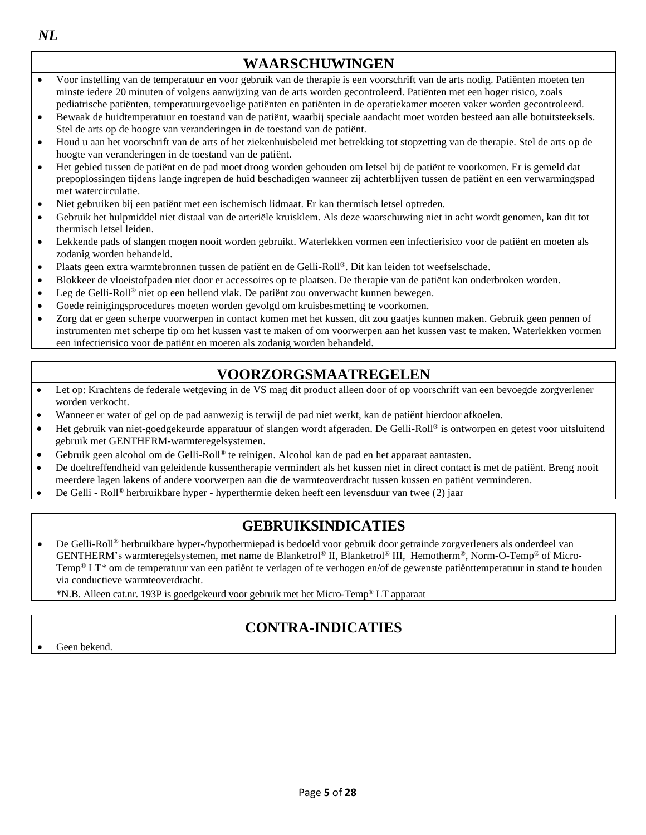*NL*

#### **WAARSCHUWINGEN** • Voor instelling van de temperatuur en voor gebruik van de therapie is een voorschrift van de arts nodig. Patiënten moeten ten minste iedere 20 minuten of volgens aanwijzing van de arts worden gecontroleerd. Patiënten met een hoger risico, zoals pediatrische patiënten, temperatuurgevoelige patiënten en patiënten in de operatiekamer moeten vaker worden gecontroleerd. • Bewaak de huidtemperatuur en toestand van de patiënt, waarbij speciale aandacht moet worden besteed aan alle botuitsteeksels. Stel de arts op de hoogte van veranderingen in de toestand van de patiënt. • Houd u aan het voorschrift van de arts of het ziekenhuisbeleid met betrekking tot stopzetting van de therapie. Stel de arts op de hoogte van veranderingen in de toestand van de patiënt. • Het gebied tussen de patiënt en de pad moet droog worden gehouden om letsel bij de patiënt te voorkomen. Er is gemeld dat prepoplossingen tijdens lange ingrepen de huid beschadigen wanneer zij achterblijven tussen de patiënt en een verwarmingspad met watercirculatie. • Niet gebruiken bij een patiënt met een ischemisch lidmaat. Er kan thermisch letsel optreden. • Gebruik het hulpmiddel niet distaal van de arteriële kruisklem. Als deze waarschuwing niet in acht wordt genomen, kan dit tot thermisch letsel leiden. • Lekkende pads of slangen mogen nooit worden gebruikt. Waterlekken vormen een infectierisico voor de patiënt en moeten als zodanig worden behandeld. • Plaats geen extra warmtebronnen tussen de patiënt en de Gelli-Roll®. Dit kan leiden tot weefselschade. • Blokkeer de vloeistofpaden niet door er accessoires op te plaatsen. De therapie van de patiënt kan onderbroken worden. • Leg de Gelli-Roll® niet op een hellend vlak. De patiënt zou onverwacht kunnen bewegen. • Goede reinigingsprocedures moeten worden gevolgd om kruisbesmetting te voorkomen.

• Zorg dat er geen scherpe voorwerpen in contact komen met het kussen, dit zou gaatjes kunnen maken. Gebruik geen pennen of instrumenten met scherpe tip om het kussen vast te maken of om voorwerpen aan het kussen vast te maken. Waterlekken vormen een infectierisico voor de patiënt en moeten als zodanig worden behandeld.

## **VOORZORGSMAATREGELEN**

- Let op: Krachtens de federale wetgeving in de VS mag dit product alleen door of op voorschrift van een bevoegde zorgverlener worden verkocht.
- Wanneer er water of gel op de pad aanwezig is terwijl de pad niet werkt, kan de patiënt hierdoor afkoelen.
- Het gebruik van niet-goedgekeurde apparatuur of slangen wordt afgeraden. De Gelli-Roll® is ontworpen en getest voor uitsluitend gebruik met GENTHERM-warmteregelsystemen.
- Gebruik geen alcohol om de Gelli-Roll® te reinigen. Alcohol kan de pad en het apparaat aantasten.
- De doeltreffendheid van geleidende kussentherapie vermindert als het kussen niet in direct contact is met de patiënt. Breng nooit meerdere lagen lakens of andere voorwerpen aan die de warmteoverdracht tussen kussen en patiënt verminderen.
- De Gelli Roll® herbruikbare hyper hyperthermie deken heeft een levensduur van twee (2) jaar

## **GEBRUIKSINDICATIES**

• De Gelli-Roll® herbruikbare hyper-/hypothermiepad is bedoeld voor gebruik door getrainde zorgverleners als onderdeel van GENTHERM's warmteregelsystemen, met name de Blanketrol® II, Blanketrol® III, Hemotherm®, Norm-O-Temp® of Micro-Temp® LT\* om de temperatuur van een patiënt te verlagen of te verhogen en/of de gewenste patiënttemperatuur in stand te houden via conductieve warmteoverdracht.

\*N.B. Alleen cat.nr. 193P is goedgekeurd voor gebruik met het Micro-Temp® LT apparaat

## **CONTRA-INDICATIES**

Geen bekend.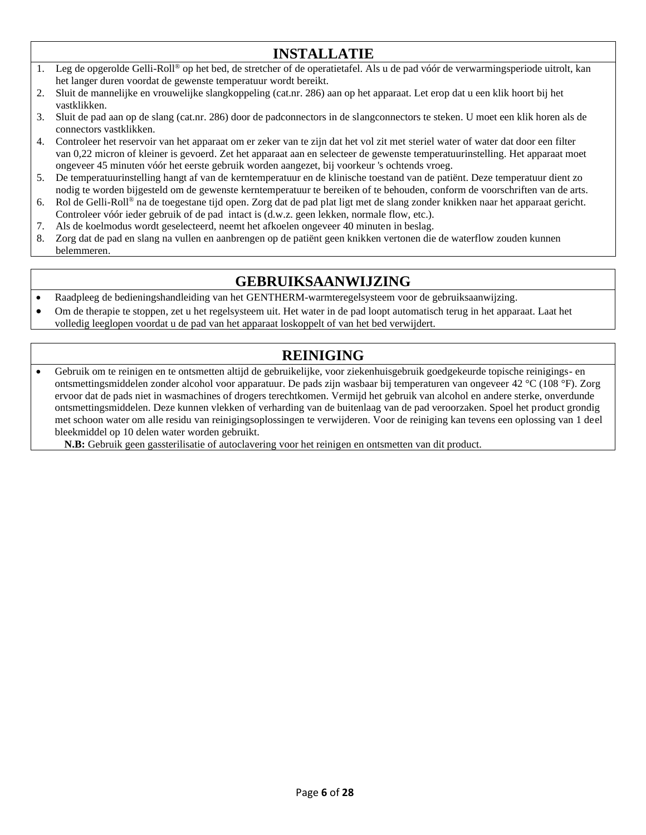## **INSTALLATIE**

- 1. Leg de opgerolde Gelli-Roll® op het bed, de stretcher of de operatietafel. Als u de pad vóór de verwarmingsperiode uitrolt, kan het langer duren voordat de gewenste temperatuur wordt bereikt.
- 2. Sluit de mannelijke en vrouwelijke slangkoppeling (cat.nr. 286) aan op het apparaat. Let erop dat u een klik hoort bij het vastklikken.
- 3. Sluit de pad aan op de slang (cat.nr. 286) door de padconnectors in de slangconnectors te steken. U moet een klik horen als de connectors vastklikken.
- 4. Controleer het reservoir van het apparaat om er zeker van te zijn dat het vol zit met steriel water of water dat door een filter van 0,22 micron of kleiner is gevoerd. Zet het apparaat aan en selecteer de gewenste temperatuurinstelling. Het apparaat moet ongeveer 45 minuten vóór het eerste gebruik worden aangezet, bij voorkeur 's ochtends vroeg.
- 5. De temperatuurinstelling hangt af van de kerntemperatuur en de klinische toestand van de patiënt. Deze temperatuur dient zo nodig te worden bijgesteld om de gewenste kerntemperatuur te bereiken of te behouden, conform de voorschriften van de arts.
- 6. Rol de Gelli-Roll® na de toegestane tijd open. Zorg dat de pad plat ligt met de slang zonder knikken naar het apparaat gericht. Controleer vóór ieder gebruik of de pad intact is (d.w.z. geen lekken, normale flow, etc.).
- 7. Als de koelmodus wordt geselecteerd, neemt het afkoelen ongeveer 40 minuten in beslag.
- 8. Zorg dat de pad en slang na vullen en aanbrengen op de patiënt geen knikken vertonen die de waterflow zouden kunnen belemmeren.

## **GEBRUIKSAANWIJZING**

- Raadpleeg de bedieningshandleiding van het GENTHERM-warmteregelsysteem voor de gebruiksaanwijzing.
- Om de therapie te stoppen, zet u het regelsysteem uit. Het water in de pad loopt automatisch terug in het apparaat. Laat het volledig leeglopen voordat u de pad van het apparaat loskoppelt of van het bed verwijdert.

## **REINIGING**

• Gebruik om te reinigen en te ontsmetten altijd de gebruikelijke, voor ziekenhuisgebruik goedgekeurde topische reinigings- en ontsmettingsmiddelen zonder alcohol voor apparatuur. De pads zijn wasbaar bij temperaturen van ongeveer 42 °C (108 °F). Zorg ervoor dat de pads niet in wasmachines of drogers terechtkomen. Vermijd het gebruik van alcohol en andere sterke, onverdunde ontsmettingsmiddelen. Deze kunnen vlekken of verharding van de buitenlaag van de pad veroorzaken. Spoel het product grondig met schoon water om alle residu van reinigingsoplossingen te verwijderen. Voor de reiniging kan tevens een oplossing van 1 deel bleekmiddel op 10 delen water worden gebruikt.

**N.B:** Gebruik geen gassterilisatie of autoclavering voor het reinigen en ontsmetten van dit product.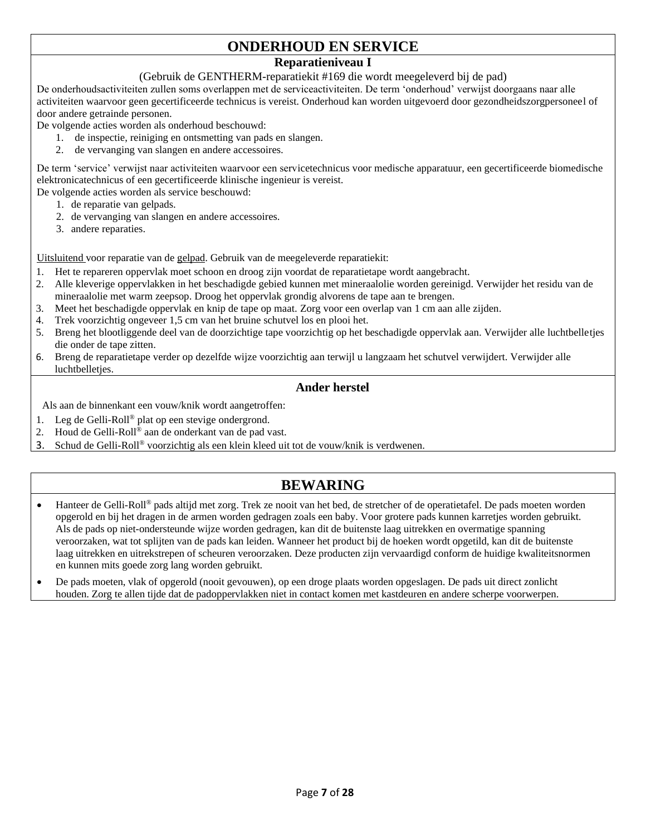## **ONDERHOUD EN SERVICE**

#### **Reparatieniveau I**

#### (Gebruik de GENTHERM-reparatiekit #169 die wordt meegeleverd bij de pad)

De onderhoudsactiviteiten zullen soms overlappen met de serviceactiviteiten. De term 'onderhoud' verwijst doorgaans naar alle activiteiten waarvoor geen gecertificeerde technicus is vereist. Onderhoud kan worden uitgevoerd door gezondheidszorgpersoneel of door andere getrainde personen.

De volgende acties worden als onderhoud beschouwd:

- 1. de inspectie, reiniging en ontsmetting van pads en slangen.
- 2. de vervanging van slangen en andere accessoires.

De term 'service' verwijst naar activiteiten waarvoor een servicetechnicus voor medische apparatuur, een gecertificeerde biomedische elektronicatechnicus of een gecertificeerde klinische ingenieur is vereist.

De volgende acties worden als service beschouwd:

- 1. de reparatie van gelpads.
- 2. de vervanging van slangen en andere accessoires.
- 3. andere reparaties.

Uitsluitend voor reparatie van de gelpad. Gebruik van de meegeleverde reparatiekit:

- 1. Het te repareren oppervlak moet schoon en droog zijn voordat de reparatietape wordt aangebracht.
- 2. Alle kleverige oppervlakken in het beschadigde gebied kunnen met mineraalolie worden gereinigd. Verwijder het residu van de mineraalolie met warm zeepsop. Droog het oppervlak grondig alvorens de tape aan te brengen.
- 3. Meet het beschadigde oppervlak en knip de tape op maat. Zorg voor een overlap van 1 cm aan alle zijden.
- 4. Trek voorzichtig ongeveer 1,5 cm van het bruine schutvel los en plooi het.
- 5. Breng het blootliggende deel van de doorzichtige tape voorzichtig op het beschadigde oppervlak aan. Verwijder alle luchtbelletjes die onder de tape zitten.
- 6. Breng de reparatietape verder op dezelfde wijze voorzichtig aan terwijl u langzaam het schutvel verwijdert. Verwijder alle luchtbelletjes.

#### **Ander herstel**

Als aan de binnenkant een vouw/knik wordt aangetroffen:

- 1. Leg de Gelli-Roll® plat op een stevige ondergrond.
- 2. Houd de Gelli-Roll® aan de onderkant van de pad vast.
- 3. Schud de Gelli-Roll® voorzichtig als een klein kleed uit tot de vouw/knik is verdwenen.

## **BEWARING**

- Hanteer de Gelli-Roll® pads altijd met zorg. Trek ze nooit van het bed, de stretcher of de operatietafel. De pads moeten worden opgerold en bij het dragen in de armen worden gedragen zoals een baby. Voor grotere pads kunnen karretjes worden gebruikt. Als de pads op niet-ondersteunde wijze worden gedragen, kan dit de buitenste laag uitrekken en overmatige spanning veroorzaken, wat tot splijten van de pads kan leiden. Wanneer het product bij de hoeken wordt opgetild, kan dit de buitenste laag uitrekken en uitrekstrepen of scheuren veroorzaken. Deze producten zijn vervaardigd conform de huidige kwaliteitsnormen en kunnen mits goede zorg lang worden gebruikt.
- De pads moeten, vlak of opgerold (nooit gevouwen), op een droge plaats worden opgeslagen. De pads uit direct zonlicht houden. Zorg te allen tijde dat de padoppervlakken niet in contact komen met kastdeuren en andere scherpe voorwerpen.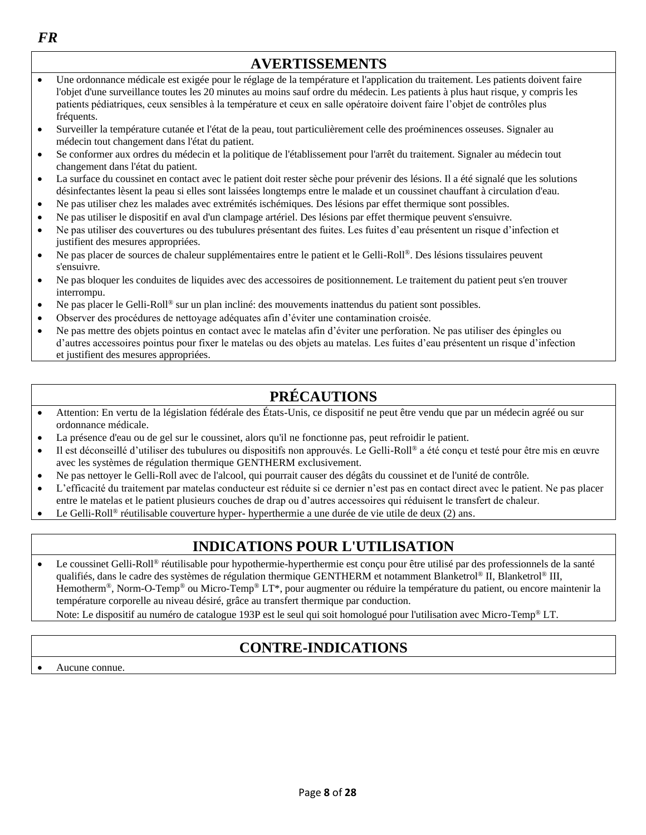| <b>AVERTISSEMENTS</b> |                                                                                                                                                                                                                                                                                                                                                                                                                |  |
|-----------------------|----------------------------------------------------------------------------------------------------------------------------------------------------------------------------------------------------------------------------------------------------------------------------------------------------------------------------------------------------------------------------------------------------------------|--|
|                       | Une ordonnance médicale est exigée pour le réglage de la température et l'application du traitement. Les patients doivent faire<br>l'objet d'une surveillance toutes les 20 minutes au moins sauf ordre du médecin. Les patients à plus haut risque, y compris les<br>patients pédiatriques, ceux sensibles à la température et ceux en salle opératoire doivent faire l'objet de contrôles plus<br>fréquents. |  |
|                       | Surveiller la température cutanée et l'état de la peau, tout particulièrement celle des proéminences osseuses. Signaler au<br>médecin tout changement dans l'état du patient.                                                                                                                                                                                                                                  |  |
|                       | Se conformer aux ordres du médecin et la politique de l'établissement pour l'arrêt du traitement. Signaler au médecin tout<br>changement dans l'état du patient.                                                                                                                                                                                                                                               |  |
|                       | La surface du coussinet en contact avec le patient doit rester sèche pour prévenir des lésions. Il a été signalé que les solutions<br>désinfectantes lèsent la peau si elles sont laissées longtemps entre le malade et un coussinet chauffant à circulation d'eau.                                                                                                                                            |  |
|                       | Ne pas utiliser chez les malades avec extrémités ischémiques. Des lésions par effet thermique sont possibles.                                                                                                                                                                                                                                                                                                  |  |
|                       | Ne pas utiliser le dispositif en aval d'un clampage artériel. Des lésions par effet thermique peuvent s'ensuivre.<br>Ne pas utiliser des couvertures ou des tubulures présentant des fuites. Les fuites d'eau présentent un risque d'infection et<br>justifient des mesures appropriées.                                                                                                                       |  |
|                       | Ne pas placer de sources de chaleur supplémentaires entre le patient et le Gelli-Roll®. Des lésions tissulaires peuvent<br>s'ensuivre.                                                                                                                                                                                                                                                                         |  |
|                       | Ne pas bloquer les conduites de liquides avec des accessoires de positionnement. Le traitement du patient peut s'en trouver<br>interrompu.                                                                                                                                                                                                                                                                     |  |

- Ne pas placer le Gelli-Roll® sur un plan incliné: des mouvements inattendus du patient sont possibles.
- Observer des procédures de nettoyage adéquates afin d'éviter une contamination croisée.
- Ne pas mettre des objets pointus en contact avec le matelas afin d'éviter une perforation. Ne pas utiliser des épingles ou d'autres accessoires pointus pour fixer le matelas ou des objets au matelas. Les fuites d'eau présentent un risque d'infection et justifient des mesures appropriées.

## **PRÉCAUTIONS**

- Attention: En vertu de la législation fédérale des États-Unis, ce dispositif ne peut être vendu que par un médecin agréé ou sur ordonnance médicale.
- La présence d'eau ou de gel sur le coussinet, alors qu'il ne fonctionne pas, peut refroidir le patient.
- Il est déconseillé d'utiliser des tubulures ou dispositifs non approuvés. Le Gelli-Roll® a été conçu et testé pour être mis en œuvre avec les systèmes de régulation thermique GENTHERM exclusivement.
- Ne pas nettoyer le Gelli-Roll avec de l'alcool, qui pourrait causer des dégâts du coussinet et de l'unité de contrôle.
- L'efficacité du traitement par matelas conducteur est réduite si ce dernier n'est pas en contact direct avec le patient. Ne pas placer entre le matelas et le patient plusieurs couches de drap ou d'autres accessoires qui réduisent le transfert de chaleur.
- Le Gelli-Roll® réutilisable couverture hyper- hyperthermie a une durée de vie utile de deux (2) ans.

## **INDICATIONS POUR L'UTILISATION**

• Le coussinet Gelli-Roll<sup>®</sup> réutilisable pour hypothermie-hyperthermie est conçu pour être utilisé par des professionnels de la santé qualifiés, dans le cadre des systèmes de régulation thermique GENTHERM et notamment Blanketrol® II, Blanketrol® III, Hemotherm®, Norm-O-Temp® ou Micro-Temp® LT\*, pour augmenter ou réduire la température du patient, ou encore maintenir la température corporelle au niveau désiré, grâce au transfert thermique par conduction.

Note: Le dispositif au numéro de catalogue 193P est le seul qui soit homologué pour l'utilisation avec Micro-Temp<sup>®</sup> LT.

## **CONTRE-INDICATIONS**

Aucune connue.

*FR*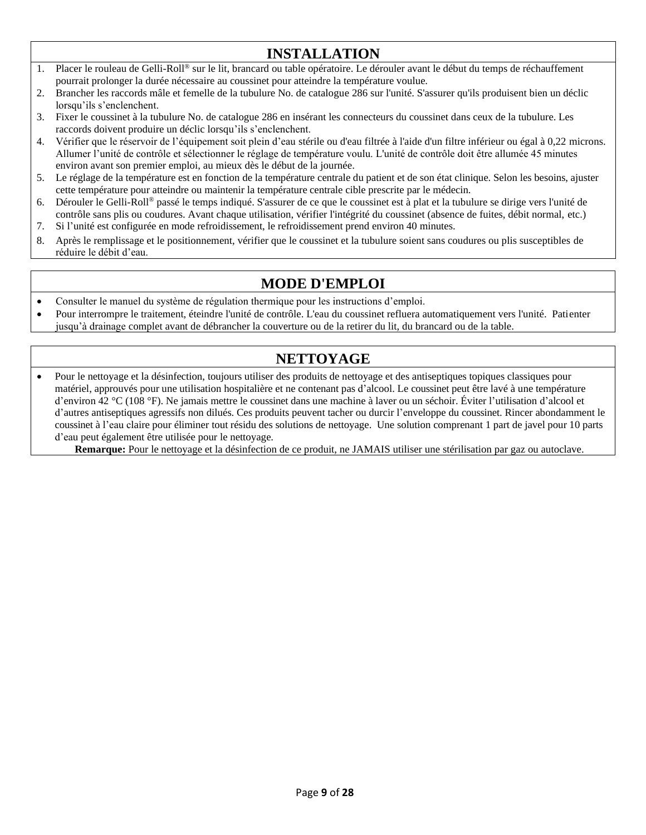## **INSTALLATION**

- 1. Placer le rouleau de Gelli-Roll® sur le lit, brancard ou table opératoire. Le dérouler avant le début du temps de réchauffement pourrait prolonger la durée nécessaire au coussinet pour atteindre la température voulue.
- 2. Brancher les raccords mâle et femelle de la tubulure No. de catalogue 286 sur l'unité. S'assurer qu'ils produisent bien un déclic lorsqu'ils s'enclenchent.
- 3. Fixer le coussinet à la tubulure No. de catalogue 286 en insérant les connecteurs du coussinet dans ceux de la tubulure. Les raccords doivent produire un déclic lorsqu'ils s'enclenchent.
- 4. Vérifier que le réservoir de l'équipement soit plein d'eau stérile ou d'eau filtrée à l'aide d'un filtre inférieur ou égal à 0,22 microns. Allumer l'unité de contrôle et sélectionner le réglage de température voulu. L'unité de contrôle doit être allumée 45 minutes environ avant son premier emploi, au mieux dès le début de la journée.
- 5. Le réglage de la température est en fonction de la température centrale du patient et de son état clinique. Selon les besoins, ajuster cette température pour atteindre ou maintenir la température centrale cible prescrite par le médecin.
- 6. Dérouler le Gelli-Roll® passé le temps indiqué. S'assurer de ce que le coussinet est à plat et la tubulure se dirige vers l'unité de contrôle sans plis ou coudures. Avant chaque utilisation, vérifier l'intégrité du coussinet (absence de fuites, débit normal, etc.)
- 7. Si l'unité est configurée en mode refroidissement, le refroidissement prend environ 40 minutes.
- 8. Après le remplissage et le positionnement, vérifier que le coussinet et la tubulure soient sans coudures ou plis susceptibles de réduire le débit d'eau.

## **MODE D'EMPLOI**

- Consulter le manuel du système de régulation thermique pour les instructions d'emploi.
- Pour interrompre le traitement, éteindre l'unité de contrôle. L'eau du coussinet refluera automatiquement vers l'unité. Patienter jusqu'à drainage complet avant de débrancher la couverture ou de la retirer du lit, du brancard ou de la table.

## **NETTOYAGE**

• Pour le nettoyage et la désinfection, toujours utiliser des produits de nettoyage et des antiseptiques topiques classiques pour matériel, approuvés pour une utilisation hospitalière et ne contenant pas d'alcool. Le coussinet peut être lavé à une température d'environ 42 °C (108 °F). Ne jamais mettre le coussinet dans une machine à laver ou un séchoir. Éviter l'utilisation d'alcool et d'autres antiseptiques agressifs non dilués. Ces produits peuvent tacher ou durcir l'enveloppe du coussinet. Rincer abondamment le coussinet à l'eau claire pour éliminer tout résidu des solutions de nettoyage. Une solution comprenant 1 part de javel pour 10 parts d'eau peut également être utilisée pour le nettoyage.

**Remarque:** Pour le nettoyage et la désinfection de ce produit, ne JAMAIS utiliser une stérilisation par gaz ou autoclave.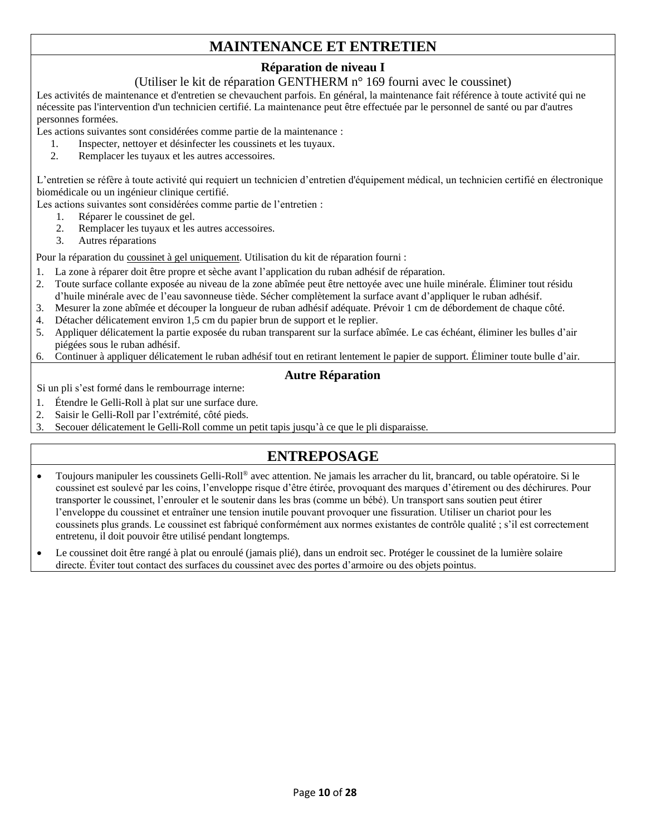## **MAINTENANCE ET ENTRETIEN**

### **Réparation de niveau I**

#### (Utiliser le kit de réparation GENTHERM n° 169 fourni avec le coussinet)

Les activités de maintenance et d'entretien se chevauchent parfois. En général, la maintenance fait référence à toute activité qui ne nécessite pas l'intervention d'un technicien certifié. La maintenance peut être effectuée par le personnel de santé ou par d'autres personnes formées.

Les actions suivantes sont considérées comme partie de la maintenance :

- 1. Inspecter, nettoyer et désinfecter les coussinets et les tuyaux.
- 2. Remplacer les tuyaux et les autres accessoires.

L'entretien se réfère à toute activité qui requiert un technicien d'entretien d'équipement médical, un technicien certifié en électronique biomédicale ou un ingénieur clinique certifié.

Les actions suivantes sont considérées comme partie de l'entretien :

- 1. Réparer le coussinet de gel.
- 2. Remplacer les tuyaux et les autres accessoires.
- 3. Autres réparations

Pour la réparation du coussinet à gel uniquement. Utilisation du kit de réparation fourni :

- 1. La zone à réparer doit être propre et sèche avant l'application du ruban adhésif de réparation.
- 2. Toute surface collante exposée au niveau de la zone abîmée peut être nettoyée avec une huile minérale. Éliminer tout résidu d'huile minérale avec de l'eau savonneuse tiède. Sécher complètement la surface avant d'appliquer le ruban adhésif.
- 3. Mesurer la zone abîmée et découper la longueur de ruban adhésif adéquate. Prévoir 1 cm de débordement de chaque côté.
- 4. Détacher délicatement environ 1,5 cm du papier brun de support et le replier.
- 5. Appliquer délicatement la partie exposée du ruban transparent sur la surface abîmée. Le cas échéant, éliminer les bulles d'air piégées sous le ruban adhésif.
- 6. Continuer à appliquer délicatement le ruban adhésif tout en retirant lentement le papier de support. Éliminer toute bulle d'air.

#### **Autre Réparation**

Si un pli s'est formé dans le rembourrage interne:

- 1. Étendre le Gelli-Roll à plat sur une surface dure.
- 2. Saisir le Gelli-Roll par l'extrémité, côté pieds.
- 3. Secouer délicatement le Gelli-Roll comme un petit tapis jusqu'à ce que le pli disparaisse.

## **ENTREPOSAGE**

- Toujours manipuler les coussinets Gelli-Roll® avec attention. Ne jamais les arracher du lit, brancard, ou table opératoire. Si le coussinet est soulevé par les coins, l'enveloppe risque d'être étirée, provoquant des marques d'étirement ou des déchirures. Pour transporter le coussinet, l'enrouler et le soutenir dans les bras (comme un bébé). Un transport sans soutien peut étirer l'enveloppe du coussinet et entraîner une tension inutile pouvant provoquer une fissuration. Utiliser un chariot pour les coussinets plus grands. Le coussinet est fabriqué conformément aux normes existantes de contrôle qualité ; s'il est correctement entretenu, il doit pouvoir être utilisé pendant longtemps.
- Le coussinet doit être rangé à plat ou enroulé (jamais plié), dans un endroit sec. Protéger le coussinet de la lumière solaire directe. Éviter tout contact des surfaces du coussinet avec des portes d'armoire ou des objets pointus.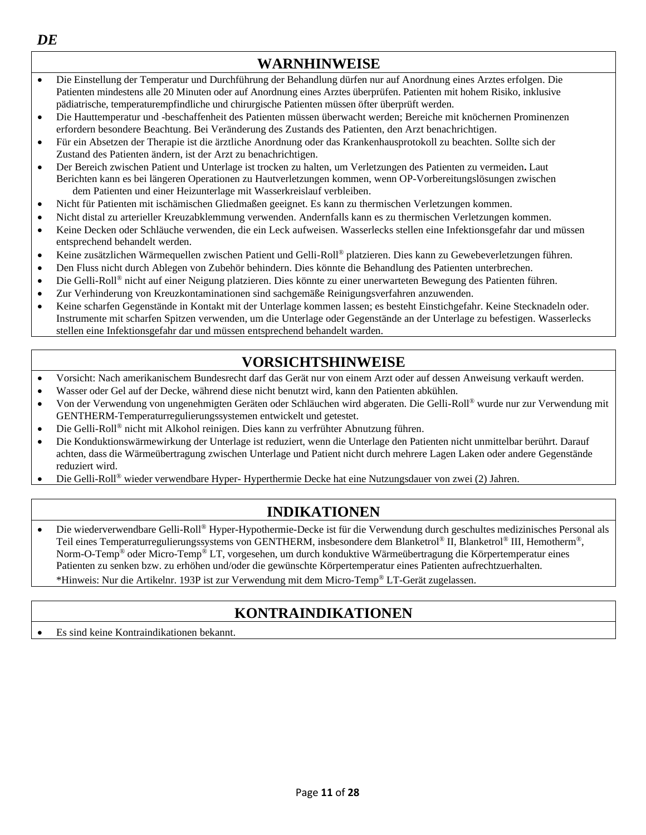

- Die Einstellung der Temperatur und Durchführung der Behandlung dürfen nur auf Anordnung eines Arztes erfolgen. Die Patienten mindestens alle 20 Minuten oder auf Anordnung eines Arztes überprüfen. Patienten mit hohem Risiko, inklusive pädiatrische, temperaturempfindliche und chirurgische Patienten müssen öfter überprüft werden.
- Die Hauttemperatur und -beschaffenheit des Patienten müssen überwacht werden; Bereiche mit knöchernen Prominenzen erfordern besondere Beachtung. Bei Veränderung des Zustands des Patienten, den Arzt benachrichtigen.
- Für ein Absetzen der Therapie ist die ärztliche Anordnung oder das Krankenhausprotokoll zu beachten. Sollte sich der Zustand des Patienten ändern, ist der Arzt zu benachrichtigen.
- Der Bereich zwischen Patient und Unterlage ist trocken zu halten, um Verletzungen des Patienten zu vermeiden**.** Laut Berichten kann es bei längeren Operationen zu Hautverletzungen kommen, wenn OP-Vorbereitungslösungen zwischen dem Patienten und einer Heizunterlage mit Wasserkreislauf verbleiben.
- Nicht für Patienten mit ischämischen Gliedmaßen geeignet. Es kann zu thermischen Verletzungen kommen.
- Nicht distal zu arterieller Kreuzabklemmung verwenden. Andernfalls kann es zu thermischen Verletzungen kommen.
- Keine Decken oder Schläuche verwenden, die ein Leck aufweisen. Wasserlecks stellen eine Infektionsgefahr dar und müssen entsprechend behandelt werden.
- Keine zusätzlichen Wärmequellen zwischen Patient und Gelli-Roll® platzieren. Dies kann zu Gewebeverletzungen führen.
- Den Fluss nicht durch Ablegen von Zubehör behindern. Dies könnte die Behandlung des Patienten unterbrechen.
- Die Gelli-Roll® nicht auf einer Neigung platzieren. Dies könnte zu einer unerwarteten Bewegung des Patienten führen.
- Zur Verhinderung von Kreuzkontaminationen sind sachgemäße Reinigungsverfahren anzuwenden.
- Keine scharfen Gegenstände in Kontakt mit der Unterlage kommen lassen; es besteht Einstichgefahr. Keine Stecknadeln oder. Instrumente mit scharfen Spitzen verwenden, um die Unterlage oder Gegenstände an der Unterlage zu befestigen. Wasserlecks stellen eine Infektionsgefahr dar und müssen entsprechend behandelt warden.

## **VORSICHTSHINWEISE**

- Vorsicht: Nach amerikanischem Bundesrecht darf das Gerät nur von einem Arzt oder auf dessen Anweisung verkauft werden.
- Wasser oder Gel auf der Decke, während diese nicht benutzt wird, kann den Patienten abkühlen.
- Von der Verwendung von ungenehmigten Geräten oder Schläuchen wird abgeraten. Die Gelli-Roll® wurde nur zur Verwendung mit GENTHERM-Temperaturregulierungssystemen entwickelt und getestet.
- Die Gelli-Roll® nicht mit Alkohol reinigen. Dies kann zu verfrühter Abnutzung führen.
- Die Konduktionswärmewirkung der Unterlage ist reduziert, wenn die Unterlage den Patienten nicht unmittelbar berührt. Darauf achten, dass die Wärmeübertragung zwischen Unterlage und Patient nicht durch mehrere Lagen Laken oder andere Gegenstände reduziert wird.
- Die Gelli-Roll® wieder verwendbare Hyper- Hyperthermie Decke hat eine Nutzungsdauer von zwei (2) Jahren.

## **INDIKATIONEN**

• Die wiederverwendbare Gelli-Roll® Hyper-Hypothermie-Decke ist für die Verwendung durch geschultes medizinisches Personal als Teil eines Temperaturregulierungssystems von GENTHERM, insbesondere dem Blanketrol® II, Blanketrol® III, Hemotherm®, Norm-O-Temp® oder Micro-Temp® LT, vorgesehen, um durch konduktive Wärmeübertragung die Körpertemperatur eines Patienten zu senken bzw. zu erhöhen und/oder die gewünschte Körpertemperatur eines Patienten aufrechtzuerhalten. \*Hinweis: Nur die Artikelnr. 193P ist zur Verwendung mit dem Micro-Temp® LT-Gerät zugelassen.

## **KONTRAINDIKATIONEN**

• Es sind keine Kontraindikationen bekannt.

*DE*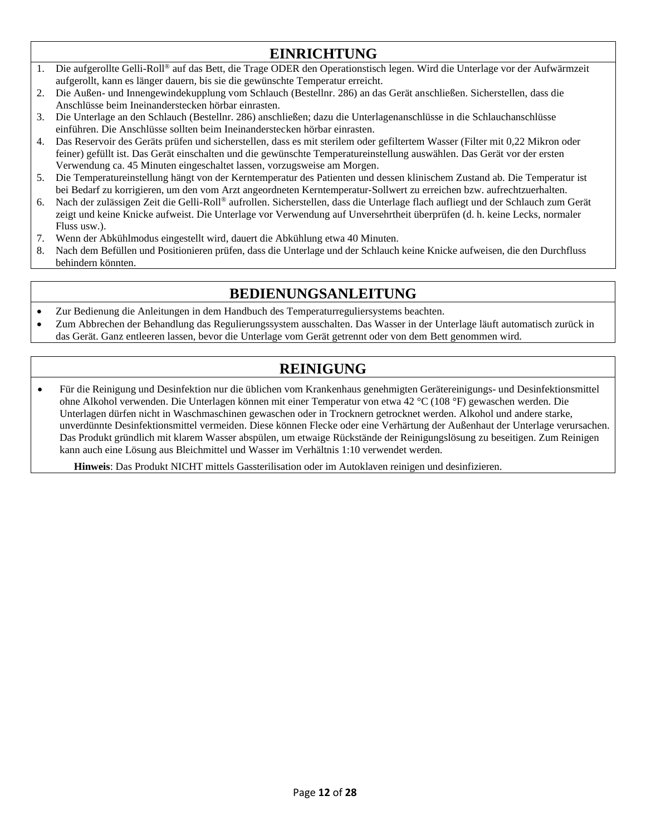## **EINRICHTUNG**

- 1. Die aufgerollte Gelli-Roll® auf das Bett, die Trage ODER den Operationstisch legen. Wird die Unterlage vor der Aufwärmzeit aufgerollt, kann es länger dauern, bis sie die gewünschte Temperatur erreicht.
- 2. Die Außen- und Innengewindekupplung vom Schlauch (Bestellnr. 286) an das Gerät anschließen. Sicherstellen, dass die Anschlüsse beim Ineinanderstecken hörbar einrasten.
- 3. Die Unterlage an den Schlauch (Bestellnr. 286) anschließen; dazu die Unterlagenanschlüsse in die Schlauchanschlüsse einführen. Die Anschlüsse sollten beim Ineinanderstecken hörbar einrasten.
- 4. Das Reservoir des Geräts prüfen und sicherstellen, dass es mit sterilem oder gefiltertem Wasser (Filter mit 0,22 Mikron oder feiner) gefüllt ist. Das Gerät einschalten und die gewünschte Temperatureinstellung auswählen. Das Gerät vor der ersten Verwendung ca. 45 Minuten eingeschaltet lassen, vorzugsweise am Morgen.
- 5. Die Temperatureinstellung hängt von der Kerntemperatur des Patienten und dessen klinischem Zustand ab. Die Temperatur ist bei Bedarf zu korrigieren, um den vom Arzt angeordneten Kerntemperatur-Sollwert zu erreichen bzw. aufrechtzuerhalten.
- 6. Nach der zulässigen Zeit die Gelli-Roll® aufrollen. Sicherstellen, dass die Unterlage flach aufliegt und der Schlauch zum Gerät zeigt und keine Knicke aufweist. Die Unterlage vor Verwendung auf Unversehrtheit überprüfen (d. h. keine Lecks, normaler Fluss usw.).
- 7. Wenn der Abkühlmodus eingestellt wird, dauert die Abkühlung etwa 40 Minuten.
- 8. Nach dem Befüllen und Positionieren prüfen, dass die Unterlage und der Schlauch keine Knicke aufweisen, die den Durchfluss behindern könnten.

## **BEDIENUNGSANLEITUNG**

- Zur Bedienung die Anleitungen in dem Handbuch des Temperaturreguliersystems beachten.
- Zum Abbrechen der Behandlung das Regulierungssystem ausschalten. Das Wasser in der Unterlage läuft automatisch zurück in das Gerät. Ganz entleeren lassen, bevor die Unterlage vom Gerät getrennt oder von dem Bett genommen wird.

## **REINIGUNG**

• Für die Reinigung und Desinfektion nur die üblichen vom Krankenhaus genehmigten Gerätereinigungs- und Desinfektionsmittel ohne Alkohol verwenden. Die Unterlagen können mit einer Temperatur von etwa 42 °C (108 °F) gewaschen werden. Die Unterlagen dürfen nicht in Waschmaschinen gewaschen oder in Trocknern getrocknet werden. Alkohol und andere starke, unverdünnte Desinfektionsmittel vermeiden. Diese können Flecke oder eine Verhärtung der Außenhaut der Unterlage verursachen. Das Produkt gründlich mit klarem Wasser abspülen, um etwaige Rückstände der Reinigungslösung zu beseitigen. Zum Reinigen kann auch eine Lösung aus Bleichmittel und Wasser im Verhältnis 1:10 verwendet werden.

**Hinweis**: Das Produkt NICHT mittels Gassterilisation oder im Autoklaven reinigen und desinfizieren.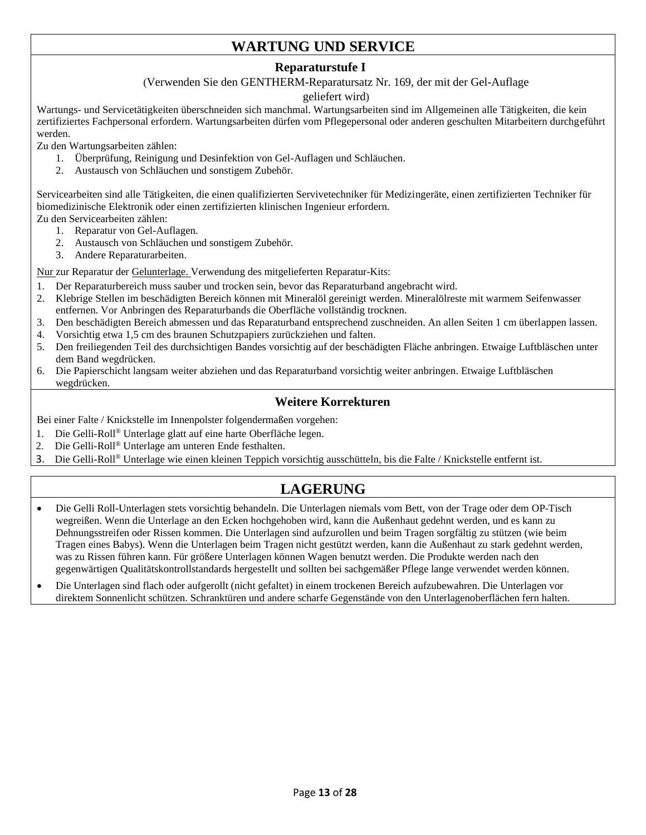## **WARTUNG UND SERVICE**

#### **Reparaturstufe I**

(Verwenden Sie den GENTHERM-Reparatursatz Nr. 169, der mit der Gel-Auflage

#### geliefert wird)

Wartungs- und Servicetätigkeiten überschneiden sich manchmal. Wartungsarbeiten sind im Allgemeinen alle Tätigkeiten, die kein zertifiziertes Fachpersonal erfordern. Wartungsarbeiten dürfen vom Pflegepersonal oder anderen geschulten Mitarbeitern durchgeführt werden.

Zu den Wartungsarbeiten zählen:

- 1. Überprüfung, Reinigung und Desinfektion von Gel-Auflagen und Schläuchen.
- 2. Austausch von Schläuchen und sonstigem Zubehör.

Servicearbeiten sind alle Tätigkeiten, die einen qualifizierten Servivetechniker für Medizingeräte, einen zertifizierten Techniker für biomedizinische Elektronik oder einen zertifizierten klinischen Ingenieur erfordern.

- Zu den Servicearbeiten zählen:
	- 1. Reparatur von Gel-Auflagen.
	- 2. Austausch von Schläuchen und sonstigem Zubehör.
	- 3. Andere Reparaturarbeiten.

Nur zur Reparatur der Gelunterlage. Verwendung des mitgelieferten Reparatur-Kits:

- 1. Der Reparaturbereich muss sauber und trocken sein, bevor das Reparaturband angebracht wird.
- 2. Klebrige Stellen im beschädigten Bereich können mit Mineralöl gereinigt werden. Mineralölreste mit warmem Seifenwasser entfernen. Vor Anbringen des Reparaturbands die Oberfläche vollständig trocknen.
- 3. Den beschädigten Bereich abmessen und das Reparaturband entsprechend zuschneiden. An allen Seiten 1 cm überlappen lassen.
- 4. Vorsichtig etwa 1,5 cm des braunen Schutzpapiers zurückziehen und falten.
- 5. Den freiliegenden Teil des durchsichtigen Bandes vorsichtig auf der beschädigten Fläche anbringen. Etwaige Luftbläschen unter dem Band wegdrücken.
- 6. Die Papierschicht langsam weiter abziehen und das Reparaturband vorsichtig weiter anbringen. Etwaige Luftbläschen wegdrücken.

#### **Weitere Korrekturen**

Bei einer Falte / Knickstelle im Innenpolster folgendermaßen vorgehen:

- 1. Die Gelli-Roll® Unterlage glatt auf eine harte Oberfläche legen.
- 2. Die Gelli-Roll® Unterlage am unteren Ende festhalten.
- 3. Die Gelli-Roll® Unterlage wie einen kleinen Teppich vorsichtig ausschütteln, bis die Falte / Knickstelle entfernt ist.

## **LAGERUNG**

- Die Gelli Roll-Unterlagen stets vorsichtig behandeln. Die Unterlagen niemals vom Bett, von der Trage oder dem OP-Tisch wegreißen. Wenn die Unterlage an den Ecken hochgehoben wird, kann die Außenhaut gedehnt werden, und es kann zu Dehnungsstreifen oder Rissen kommen. Die Unterlagen sind aufzurollen und beim Tragen sorgfältig zu stützen (wie beim Tragen eines Babys). Wenn die Unterlagen beim Tragen nicht gestützt werden, kann die Außenhaut zu stark gedehnt werden, was zu Rissen führen kann. Für größere Unterlagen können Wagen benutzt werden. Die Produkte werden nach den gegenwärtigen Qualitätskontrollstandards hergestellt und sollten bei sachgemäßer Pflege lange verwendet werden können.
- Die Unterlagen sind flach oder aufgerollt (nicht gefaltet) in einem trockenen Bereich aufzubewahren. Die Unterlagen vor direktem Sonnenlicht schützen. Schranktüren und andere scharfe Gegenstände von den Unterlagenoberflächen fern halten.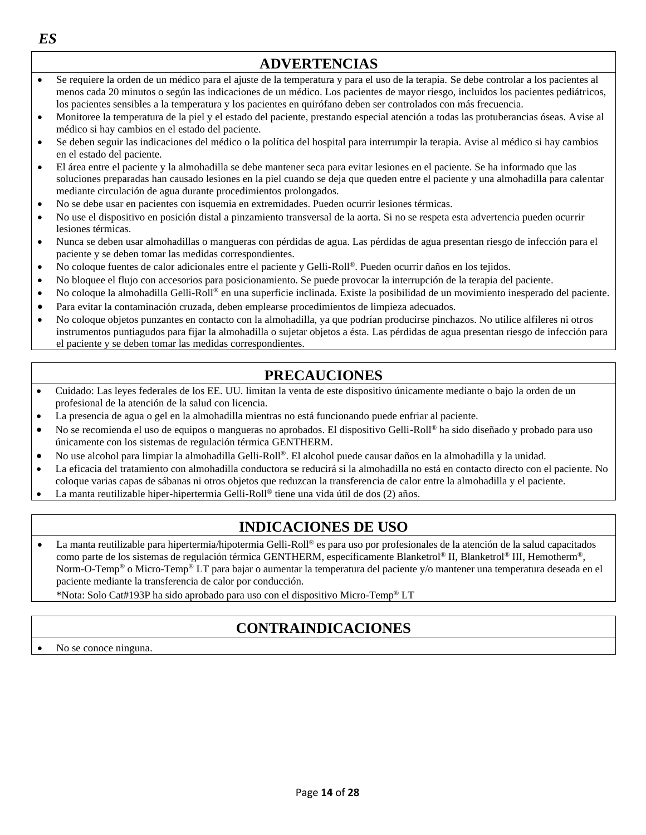

- La presencia de agua o gel en la almohadilla mientras no está funcionando puede enfriar al paciente.
- No se recomienda el uso de equipos o mangueras no aprobados. El dispositivo Gelli-Roll® ha sido diseñado y probado para uso únicamente con los sistemas de regulación térmica GENTHERM.
- No use alcohol para limpiar la almohadilla Gelli-Roll®. El alcohol puede causar daños en la almohadilla y la unidad.
- La eficacia del tratamiento con almohadilla conductora se reducirá si la almohadilla no está en contacto directo con el paciente. No coloque varias capas de sábanas ni otros objetos que reduzcan la transferencia de calor entre la almohadilla y el paciente.
- La manta reutilizable hiper-hipertermia Gelli-Roll® tiene una vida útil de dos (2) años.

## **INDICACIONES DE USO**

• La manta reutilizable para hipertermia/hipotermia Gelli-Roll® es para uso por profesionales de la atención de la salud capacitados como parte de los sistemas de regulación térmica GENTHERM, específicamente Blanketrol® II, Blanketrol® III, Hemotherm®, Norm-O-Temp® o Micro-Temp® LT para bajar o aumentar la temperatura del paciente y/o mantener una temperatura deseada en el paciente mediante la transferencia de calor por conducción.

\*Nota: Solo Cat#193P ha sido aprobado para uso con el dispositivo Micro-Temp® LT

## **CONTRAINDICACIONES**

Page **14** of **28**

No se conoce ninguna.

*ES*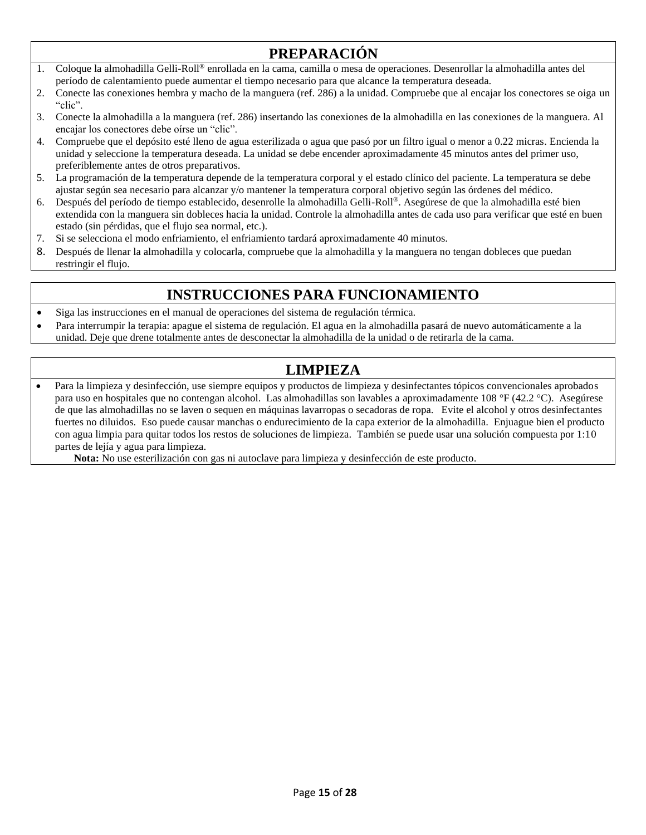## **PREPARACIÓN**

- 1. Coloque la almohadilla Gelli-Roll® enrollada en la cama, camilla o mesa de operaciones. Desenrollar la almohadilla antes del período de calentamiento puede aumentar el tiempo necesario para que alcance la temperatura deseada.
- 2. Conecte las conexiones hembra y macho de la manguera (ref. 286) a la unidad. Compruebe que al encajar los conectores se oiga un "clic".
- 3. Conecte la almohadilla a la manguera (ref. 286) insertando las conexiones de la almohadilla en las conexiones de la manguera. Al encajar los conectores debe oírse un "clic".
- 4. Compruebe que el depósito esté lleno de agua esterilizada o agua que pasó por un filtro igual o menor a 0.22 micras. Encienda la unidad y seleccione la temperatura deseada. La unidad se debe encender aproximadamente 45 minutos antes del primer uso, preferiblemente antes de otros preparativos.
- 5. La programación de la temperatura depende de la temperatura corporal y el estado clínico del paciente. La temperatura se debe ajustar según sea necesario para alcanzar y/o mantener la temperatura corporal objetivo según las órdenes del médico.
- 6. Después del período de tiempo establecido, desenrolle la almohadilla Gelli-Roll®. Asegúrese de que la almohadilla esté bien extendida con la manguera sin dobleces hacia la unidad. Controle la almohadilla antes de cada uso para verificar que esté en buen estado (sin pérdidas, que el flujo sea normal, etc.).
- 7. Si se selecciona el modo enfriamiento, el enfriamiento tardará aproximadamente 40 minutos.
- 8. Después de llenar la almohadilla y colocarla, compruebe que la almohadilla y la manguera no tengan dobleces que puedan restringir el flujo.

## **INSTRUCCIONES PARA FUNCIONAMIENTO**

- Siga las instrucciones en el manual de operaciones del sistema de regulación térmica.
- Para interrumpir la terapia: apague el sistema de regulación. El agua en la almohadilla pasará de nuevo automáticamente a la unidad. Deje que drene totalmente antes de desconectar la almohadilla de la unidad o de retirarla de la cama.

## **LIMPIEZA**

• Para la limpieza y desinfección, use siempre equipos y productos de limpieza y desinfectantes tópicos convencionales aprobados para uso en hospitales que no contengan alcohol. Las almohadillas son lavables a aproximadamente 108 °F (42.2 °C). Asegúrese de que las almohadillas no se laven o sequen en máquinas lavarropas o secadoras de ropa. Evite el alcohol y otros desinfectantes fuertes no diluidos. Eso puede causar manchas o endurecimiento de la capa exterior de la almohadilla. Enjuague bien el producto con agua limpia para quitar todos los restos de soluciones de limpieza. También se puede usar una solución compuesta por 1:10 partes de lejía y agua para limpieza.

**Nota:** No use esterilización con gas ni autoclave para limpieza y desinfección de este producto.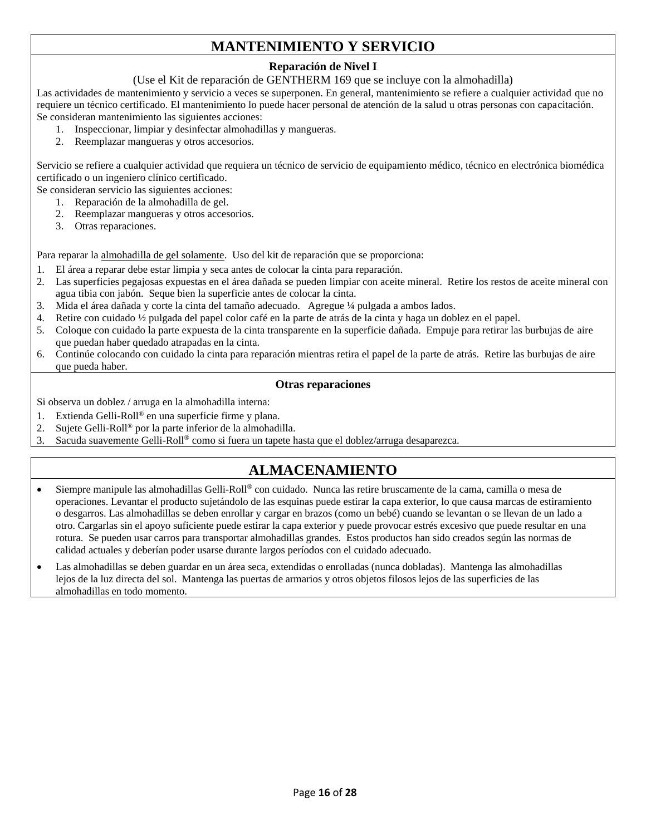## **MANTENIMIENTO Y SERVICIO**

#### **Reparación de Nivel I**

#### (Use el Kit de reparación de GENTHERM 169 que se incluye con la almohadilla)

Las actividades de mantenimiento y servicio a veces se superponen. En general, mantenimiento se refiere a cualquier actividad que no requiere un técnico certificado. El mantenimiento lo puede hacer personal de atención de la salud u otras personas con capacitación. Se consideran mantenimiento las siguientes acciones:

- 1. Inspeccionar, limpiar y desinfectar almohadillas y mangueras.
- 2. Reemplazar mangueras y otros accesorios.

Servicio se refiere a cualquier actividad que requiera un técnico de servicio de equipamiento médico, técnico en electrónica biomédica certificado o un ingeniero clínico certificado.

Se consideran servicio las siguientes acciones:

- 1. Reparación de la almohadilla de gel.
	- 2. Reemplazar mangueras y otros accesorios.
	- 3. Otras reparaciones.

Para reparar la almohadilla de gel solamente. Uso del kit de reparación que se proporciona:

- 1. El área a reparar debe estar limpia y seca antes de colocar la cinta para reparación.
- 2. Las superficies pegajosas expuestas en el área dañada se pueden limpiar con aceite mineral. Retire los restos de aceite mineral con agua tibia con jabón. Seque bien la superficie antes de colocar la cinta.
- 3. Mida el área dañada y corte la cinta del tamaño adecuado. Agregue ¼ pulgada a ambos lados.
- 4. Retire con cuidado ½ pulgada del papel color café en la parte de atrás de la cinta y haga un doblez en el papel.
- 5. Coloque con cuidado la parte expuesta de la cinta transparente en la superficie dañada. Empuje para retirar las burbujas de aire que puedan haber quedado atrapadas en la cinta.
- 6. Continúe colocando con cuidado la cinta para reparación mientras retira el papel de la parte de atrás. Retire las burbujas de aire que pueda haber.

#### **Otras reparaciones**

Si observa un doblez / arruga en la almohadilla interna:

- 1. Extienda Gelli-Roll® en una superficie firme y plana.
- 2. Sujete Gelli-Roll® por la parte inferior de la almohadilla.
- 3. Sacuda suavemente Gelli-Roll® como si fuera un tapete hasta que el doblez/arruga desaparezca.

## **ALMACENAMIENTO**

- Siempre manipule las almohadillas Gelli-Roll® con cuidado. Nunca las retire bruscamente de la cama, camilla o mesa de operaciones. Levantar el producto sujetándolo de las esquinas puede estirar la capa exterior, lo que causa marcas de estiramiento o desgarros. Las almohadillas se deben enrollar y cargar en brazos (como un bebé) cuando se levantan o se llevan de un lado a otro. Cargarlas sin el apoyo suficiente puede estirar la capa exterior y puede provocar estrés excesivo que puede resultar en una rotura. Se pueden usar carros para transportar almohadillas grandes. Estos productos han sido creados según las normas de calidad actuales y deberían poder usarse durante largos períodos con el cuidado adecuado.
- Las almohadillas se deben guardar en un área seca, extendidas o enrolladas (nunca dobladas). Mantenga las almohadillas lejos de la luz directa del sol. Mantenga las puertas de armarios y otros objetos filosos lejos de las superficies de las almohadillas en todo momento.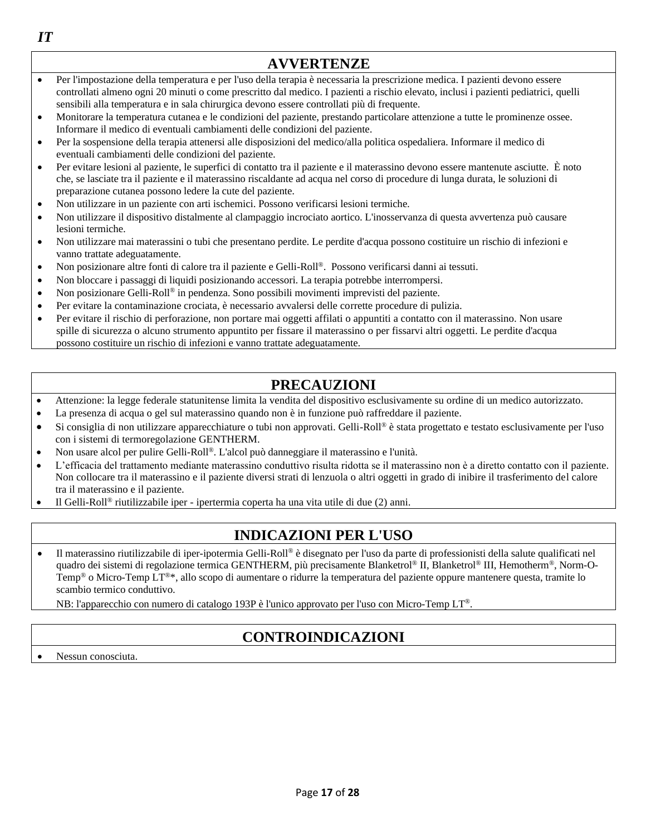|           | <b>AVVERTENZE</b>                                                                                                                                                                                                                                                                                                                                                  |
|-----------|--------------------------------------------------------------------------------------------------------------------------------------------------------------------------------------------------------------------------------------------------------------------------------------------------------------------------------------------------------------------|
| $\bullet$ | Per l'impostazione della temperatura e per l'uso della terapia è necessaria la prescrizione medica. I pazienti devono essere<br>controllati almeno ogni 20 minuti o come prescritto dal medico. I pazienti a rischio elevato, inclusi i pazienti pediatrici, quelli<br>sensibili alla temperatura e in sala chirurgica devono essere controllati più di frequente. |
| $\bullet$ | Monitorare la temperatura cutanea e le condizioni del paziente, prestando particolare attenzione a tutte le prominenze ossee.<br>Informare il medico di eventuali cambiamenti delle condizioni del paziente.                                                                                                                                                       |
| $\bullet$ | Per la sospensione della terapia attenersi alle disposizioni del medico/alla politica ospedaliera. Informare il medico di<br>eventuali cambiamenti delle condizioni del paziente.                                                                                                                                                                                  |
| $\bullet$ | Per evitare lesioni al paziente, le superfici di contatto tra il paziente e il materassino devono essere mantenute asciutte. È noto<br>che, se lasciate tra il paziente e il materassino riscaldante ad acqua nel corso di procedure di lunga durata, le soluzioni di<br>preparazione cutanea possono ledere la cute del paziente.                                 |
| $\bullet$ | Non utilizzare in un paziente con arti ischemici. Possono verificarsi lesioni termiche.                                                                                                                                                                                                                                                                            |
| $\bullet$ | Non utilizzare il dispositivo distalmente al clampaggio incrociato aortico. L'inosservanza di questa avvertenza può causare<br>lesioni termiche.                                                                                                                                                                                                                   |
| $\bullet$ | Non utilizzare mai materassini o tubi che presentano perdite. Le perdite d'acqua possono costituire un rischio di infezioni e<br>vanno trattate adeguatamente.                                                                                                                                                                                                     |
| $\bullet$ | Non posizionare altre fonti di calore tra il paziente e Gelli-Roll®. Possono verificarsi danni ai tessuti.                                                                                                                                                                                                                                                         |
| $\bullet$ | Non bloccare i passaggi di liquidi posizionando accessori. La terapia potrebbe interrompersi.                                                                                                                                                                                                                                                                      |
| $\bullet$ | Non posizionare Gelli-Roll® in pendenza. Sono possibili movimenti imprevisti del paziente.                                                                                                                                                                                                                                                                         |
| $\bullet$ | Per evitare la contaminazione crociata, è necessario avvalersi delle corrette procedure di pulizia.                                                                                                                                                                                                                                                                |
| $\bullet$ | Per evitare il rischio di perforazione, non portare mai oggetti affilati o appuntiti a contatto con il materassino. Non usare<br>spille di sicurezza o alcuno strumento appuntito per fissare il materassino o per fissarvi altri oggetti. Le perdite d'acqua<br>possono costituire un rischio di infezioni e vanno trattate adeguatamente.                        |

## **PRECAUZIONI**

- Attenzione: la legge federale statunitense limita la vendita del dispositivo esclusivamente su ordine di un medico autorizzato.
- La presenza di acqua o gel sul materassino quando non è in funzione può raffreddare il paziente.
- Si consiglia di non utilizzare apparecchiature o tubi non approvati. Gelli-Roll® è stata progettato e testato esclusivamente per l'uso con i sistemi di termoregolazione GENTHERM.
- Non usare alcol per pulire Gelli-Roll®. L'alcol può danneggiare il materassino e l'unità.
- L'efficacia del trattamento mediante materassino conduttivo risulta ridotta se il materassino non è a diretto contatto con il paziente. Non collocare tra il materassino e il paziente diversi strati di lenzuola o altri oggetti in grado di inibire il trasferimento del calore tra il materassino e il paziente.
- Il Gelli-Roll® riutilizzabile iper ipertermia coperta ha una vita utile di due (2) anni.

## **INDICAZIONI PER L'USO**

• Il materassino riutilizzabile di iper-ipotermia Gelli-Roll® è disegnato per l'uso da parte di professionisti della salute qualificati nel quadro dei sistemi di regolazione termica GENTHERM, più precisamente Blanketrol® II, Blanketrol® III, Hemotherm®, Norm-O-Temp® o Micro-Temp LT®\*, allo scopo di aumentare o ridurre la temperatura del paziente oppure mantenere questa, tramite lo scambio termico conduttivo.

NB: l'apparecchio con numero di catalogo 193P è l'unico approvato per l'uso con Micro-Temp LT®.

## **CONTROINDICAZIONI**

Nessun conosciuta.

*IT*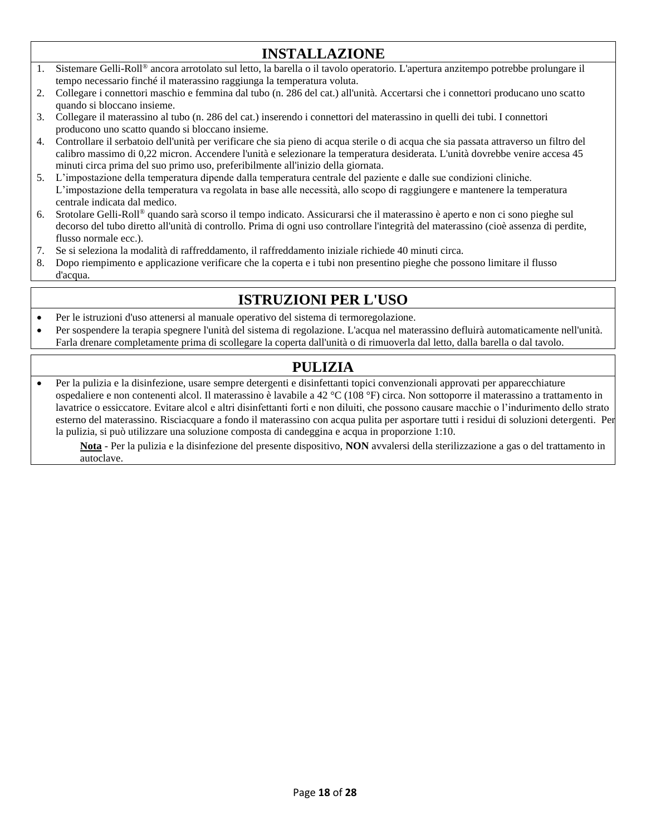## **INSTALLAZIONE**

- 1. Sistemare Gelli-Roll® ancora arrotolato sul letto, la barella o il tavolo operatorio. L'apertura anzitempo potrebbe prolungare il tempo necessario finché il materassino raggiunga la temperatura voluta.
- 2. Collegare i connettori maschio e femmina dal tubo (n. 286 del cat.) all'unità. Accertarsi che i connettori producano uno scatto quando si bloccano insieme.
- 3. Collegare il materassino al tubo (n. 286 del cat.) inserendo i connettori del materassino in quelli dei tubi. I connettori producono uno scatto quando si bloccano insieme.
- 4. Controllare il serbatoio dell'unità per verificare che sia pieno di acqua sterile o di acqua che sia passata attraverso un filtro del calibro massimo di 0,22 micron. Accendere l'unità e selezionare la temperatura desiderata. L'unità dovrebbe venire accesa 45 minuti circa prima del suo primo uso, preferibilmente all'inizio della giornata.
- 5. L'impostazione della temperatura dipende dalla temperatura centrale del paziente e dalle sue condizioni cliniche. L'impostazione della temperatura va regolata in base alle necessità, allo scopo di raggiungere e mantenere la temperatura centrale indicata dal medico.
- 6. Srotolare Gelli-Roll® quando sarà scorso il tempo indicato. Assicurarsi che il materassino è aperto e non ci sono pieghe sul decorso del tubo diretto all'unità di controllo. Prima di ogni uso controllare l'integrità del materassino (cioè assenza di perdite, flusso normale ecc.).
- 7. Se si seleziona la modalità di raffreddamento, il raffreddamento iniziale richiede 40 minuti circa.
- 8. Dopo riempimento e applicazione verificare che la coperta e i tubi non presentino pieghe che possono limitare il flusso d'acqua.

## **ISTRUZIONI PER L'USO**

- Per le istruzioni d'uso attenersi al manuale operativo del sistema di termoregolazione.
- Per sospendere la terapia spegnere l'unità del sistema di regolazione. L'acqua nel materassino defluirà automaticamente nell'unità. Farla drenare completamente prima di scollegare la coperta dall'unità o di rimuoverla dal letto, dalla barella o dal tavolo.

## **PULIZIA**

• Per la pulizia e la disinfezione, usare sempre detergenti e disinfettanti topici convenzionali approvati per apparecchiature ospedaliere e non contenenti alcol. Il materassino è lavabile a 42 °C (108 °F) circa. Non sottoporre il materassino a trattamento in lavatrice o essiccatore. Evitare alcol e altri disinfettanti forti e non diluiti, che possono causare macchie o l'indurimento dello strato esterno del materassino. Risciacquare a fondo il materassino con acqua pulita per asportare tutti i residui di soluzioni detergenti. Per la pulizia, si può utilizzare una soluzione composta di candeggina e acqua in proporzione 1:10.

**Nota** - Per la pulizia e la disinfezione del presente dispositivo, **NON** avvalersi della sterilizzazione a gas o del trattamento in autoclave.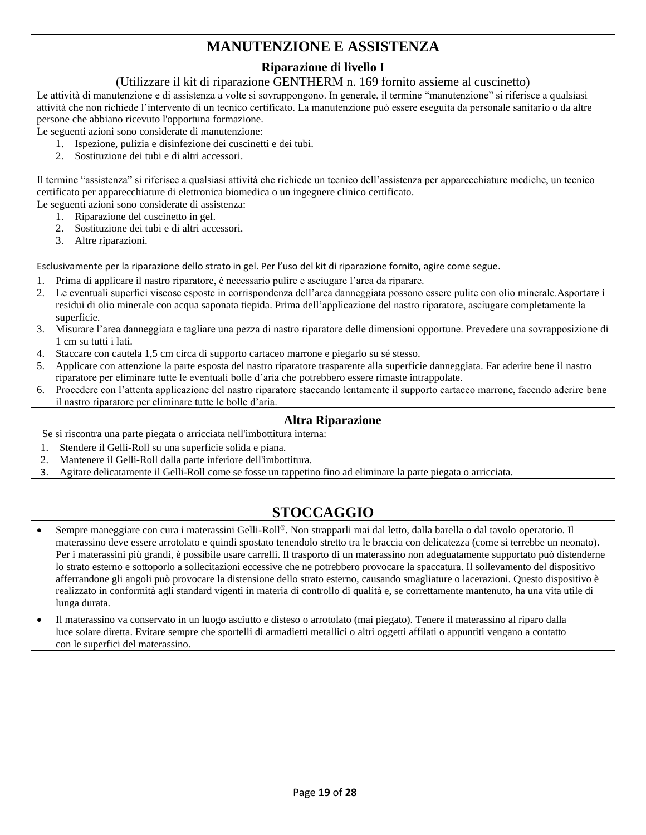## **MANUTENZIONE E ASSISTENZA**

#### **Riparazione di livello I**

#### (Utilizzare il kit di riparazione GENTHERM n. 169 fornito assieme al cuscinetto)

Le attività di manutenzione e di assistenza a volte si sovrappongono. In generale, il termine "manutenzione" si riferisce a qualsiasi attività che non richiede l'intervento di un tecnico certificato. La manutenzione può essere eseguita da personale sanitario o da altre persone che abbiano ricevuto l'opportuna formazione.

Le seguenti azioni sono considerate di manutenzione:

- 1. Ispezione, pulizia e disinfezione dei cuscinetti e dei tubi.
- 2. Sostituzione dei tubi e di altri accessori.

Il termine "assistenza" si riferisce a qualsiasi attività che richiede un tecnico dell'assistenza per apparecchiature mediche, un tecnico certificato per apparecchiature di elettronica biomedica o un ingegnere clinico certificato.

Le seguenti azioni sono considerate di assistenza:

- 1. Riparazione del cuscinetto in gel.
- 2. Sostituzione dei tubi e di altri accessori.
- 3. Altre riparazioni.

Esclusivamente per la riparazione dello strato in gel. Per l'uso del kit di riparazione fornito, agire come segue.

- 1. Prima di applicare il nastro riparatore, è necessario pulire e asciugare l'area da riparare.
- 2. Le eventuali superfici viscose esposte in corrispondenza dell'area danneggiata possono essere pulite con olio minerale.Asportare i residui di olio minerale con acqua saponata tiepida. Prima dell'applicazione del nastro riparatore, asciugare completamente la superficie.
- 3. Misurare l'area danneggiata e tagliare una pezza di nastro riparatore delle dimensioni opportune. Prevedere una sovrapposizione di 1 cm su tutti i lati.
- 4. Staccare con cautela 1,5 cm circa di supporto cartaceo marrone e piegarlo su sé stesso.
- 5. Applicare con attenzione la parte esposta del nastro riparatore trasparente alla superficie danneggiata. Far aderire bene il nastro riparatore per eliminare tutte le eventuali bolle d'aria che potrebbero essere rimaste intrappolate.
- 6. Procedere con l'attenta applicazione del nastro riparatore staccando lentamente il supporto cartaceo marrone, facendo aderire bene il nastro riparatore per eliminare tutte le bolle d'aria.

#### **Altra Riparazione**

Se si riscontra una parte piegata o arricciata nell'imbottitura interna:

- 1. Stendere il Gelli-Roll su una superficie solida e piana.
- 2. Mantenere il Gelli-Roll dalla parte inferiore dell'imbottitura.
- 3. Agitare delicatamente il Gelli-Roll come se fosse un tappetino fino ad eliminare la parte piegata o arricciata.

## **STOCCAGGIO**

- Sempre maneggiare con cura i materassini Gelli-Roll®. Non strapparli mai dal letto, dalla barella o dal tavolo operatorio. Il materassino deve essere arrotolato e quindi spostato tenendolo stretto tra le braccia con delicatezza (come si terrebbe un neonato). Per i materassini più grandi, è possibile usare carrelli. Il trasporto di un materassino non adeguatamente supportato può distenderne lo strato esterno e sottoporlo a sollecitazioni eccessive che ne potrebbero provocare la spaccatura. Il sollevamento del dispositivo afferrandone gli angoli può provocare la distensione dello strato esterno, causando smagliature o lacerazioni. Questo dispositivo è realizzato in conformità agli standard vigenti in materia di controllo di qualità e, se correttamente mantenuto, ha una vita utile di lunga durata.
- Il materassino va conservato in un luogo asciutto e disteso o arrotolato (mai piegato). Tenere il materassino al riparo dalla luce solare diretta. Evitare sempre che sportelli di armadietti metallici o altri oggetti affilati o appuntiti vengano a contatto con le superfici del materassino.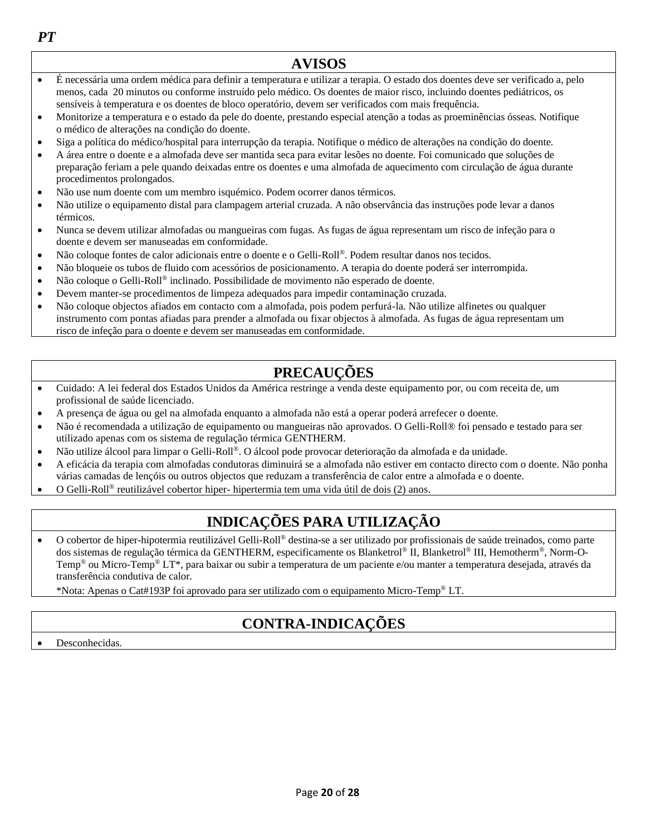**AVISOS** • É necessária uma ordem médica para definir a temperatura e utilizar a terapia. O estado dos doentes deve ser verificado a, pelo menos, cada 20 minutos ou conforme instruído pelo médico. Os doentes de maior risco, incluindo doentes pediátricos, os sensíveis à temperatura e os doentes de bloco operatório, devem ser verificados com mais frequência. • Monitorize a temperatura e o estado da pele do doente, prestando especial atenção a todas as proeminências ósseas. Notifique o médico de alterações na condição do doente. • Siga a política do médico/hospital para interrupção da terapia. Notifique o médico de alterações na condição do doente. • A área entre o doente e a almofada deve ser mantida seca para evitar lesões no doente. Foi comunicado que soluções de preparação feriam a pele quando deixadas entre os doentes e uma almofada de aquecimento com circulação de água durante procedimentos prolongados. • Não use num doente com um membro isquémico. Podem ocorrer danos térmicos. • Não utilize o equipamento distal para clampagem arterial cruzada. A não observância das instruções pode levar a danos térmicos. • Nunca se devem utilizar almofadas ou mangueiras com fugas. As fugas de água representam um risco de infeção para o doente e devem ser manuseadas em conformidade. • Não coloque fontes de calor adicionais entre o doente e o Gelli-Roll®. Podem resultar danos nos tecidos. • Não bloqueie os tubos de fluido com acessórios de posicionamento. A terapia do doente poderá ser interrompida. • Não coloque o Gelli-Roll® inclinado. Possibilidade de movimento não esperado de doente. • Devem manter-se procedimentos de limpeza adequados para impedir contaminação cruzada. • Não coloque objectos afiados em contacto com a almofada, pois podem perfurá-la. Não utilize alfinetes ou qualquer instrumento com pontas afiadas para prender a almofada ou fixar objectos à almofada. As fugas de água representam um risco de infeção para o doente e devem ser manuseadas em conformidade.

## **PRECAUÇÕES**

- Cuidado: A lei federal dos Estados Unidos da América restringe a venda deste equipamento por, ou com receita de, um profissional de saúde licenciado.
- A presença de água ou gel na almofada enquanto a almofada não está a operar poderá arrefecer o doente.
- Não é recomendada a utilização de equipamento ou mangueiras não aprovados. O Gelli-Roll® foi pensado e testado para ser utilizado apenas com os sistema de regulação térmica GENTHERM.
- Não utilize álcool para limpar o Gelli-Roll®. O álcool pode provocar deterioração da almofada e da unidade.
- A eficácia da terapia com almofadas condutoras diminuirá se a almofada não estiver em contacto directo com o doente. Não ponha várias camadas de lençóis ou outros objectos que reduzam a transferência de calor entre a almofada e o doente.
- O Gelli-Roll® reutilizável cobertor hiper- hipertermia tem uma vida útil de dois (2) anos.

## **INDICAÇÕES PARA UTILIZAÇÃO**

• O cobertor de hiper-hipotermia reutilizável Gelli-Roll® destina-se a ser utilizado por profissionais de saúde treinados, como parte dos sistemas de regulação térmica da GENTHERM, especificamente os Blanketrol® II, Blanketrol® III, Hemotherm®, Norm-O-Temp® ou Micro-Temp® LT\*, para baixar ou subir a temperatura de um paciente e/ou manter a temperatura desejada, através da transferência condutiva de calor.

\*Nota: Apenas o Cat#193P foi aprovado para ser utilizado com o equipamento Micro-Temp® LT.

## **CONTRA-INDICAÇÕES**

Page **20** of **28**

Desconhecidas.

*PT*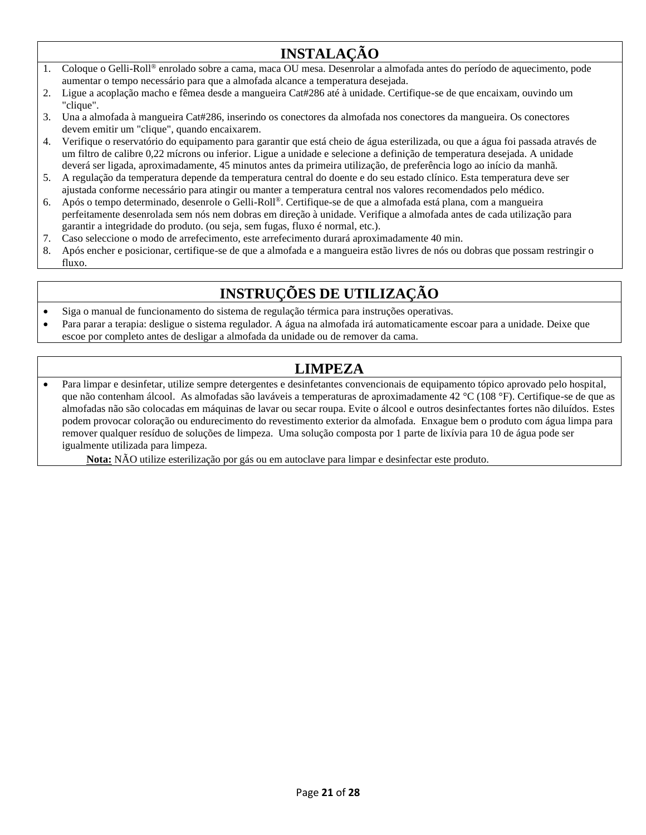## **INSTALAÇÃO**

- 1. Coloque o Gelli-Roll® enrolado sobre a cama, maca OU mesa. Desenrolar a almofada antes do período de aquecimento, pode aumentar o tempo necessário para que a almofada alcance a temperatura desejada.
- 2. Ligue a acoplação macho e fêmea desde a mangueira Cat#286 até à unidade. Certifique-se de que encaixam, ouvindo um "clique".
- 3. Una a almofada à mangueira Cat#286, inserindo os conectores da almofada nos conectores da mangueira. Os conectores devem emitir um "clique", quando encaixarem.
- 4. Verifique o reservatório do equipamento para garantir que está cheio de água esterilizada, ou que a água foi passada através de um filtro de calibre 0,22 mícrons ou inferior. Ligue a unidade e selecione a definição de temperatura desejada. A unidade deverá ser ligada, aproximadamente, 45 minutos antes da primeira utilização, de preferência logo ao início da manhã.
- 5. A regulação da temperatura depende da temperatura central do doente e do seu estado clínico. Esta temperatura deve ser ajustada conforme necessário para atingir ou manter a temperatura central nos valores recomendados pelo médico.
- 6. Após o tempo determinado, desenrole o Gelli-Roll®. Certifique-se de que a almofada está plana, com a mangueira perfeitamente desenrolada sem nós nem dobras em direção à unidade. Verifique a almofada antes de cada utilização para garantir a integridade do produto. (ou seja, sem fugas, fluxo é normal, etc.).
- 7. Caso seleccione o modo de arrefecimento, este arrefecimento durará aproximadamente 40 min.
- 8. Após encher e posicionar, certifique-se de que a almofada e a mangueira estão livres de nós ou dobras que possam restringir o fluxo.

## **INSTRUÇÕES DE UTILIZAÇÃO**

- Siga o manual de funcionamento do sistema de regulação térmica para instruções operativas.
- Para parar a terapia: desligue o sistema regulador. A água na almofada irá automaticamente escoar para a unidade. Deixe que escoe por completo antes de desligar a almofada da unidade ou de remover da cama.

## **LIMPEZA**

• Para limpar e desinfetar, utilize sempre detergentes e desinfetantes convencionais de equipamento tópico aprovado pelo hospital, que não contenham álcool. As almofadas são laváveis a temperaturas de aproximadamente 42 °C (108 °F). Certifique-se de que as almofadas não são colocadas em máquinas de lavar ou secar roupa. Evite o álcool e outros desinfectantes fortes não diluídos. Estes podem provocar coloração ou endurecimento do revestimento exterior da almofada. Enxague bem o produto com água limpa para remover qualquer resíduo de soluções de limpeza. Uma solução composta por 1 parte de lixívia para 10 de água pode ser igualmente utilizada para limpeza.

**Nota:** NÃO utilize esterilização por gás ou em autoclave para limpar e desinfectar este produto.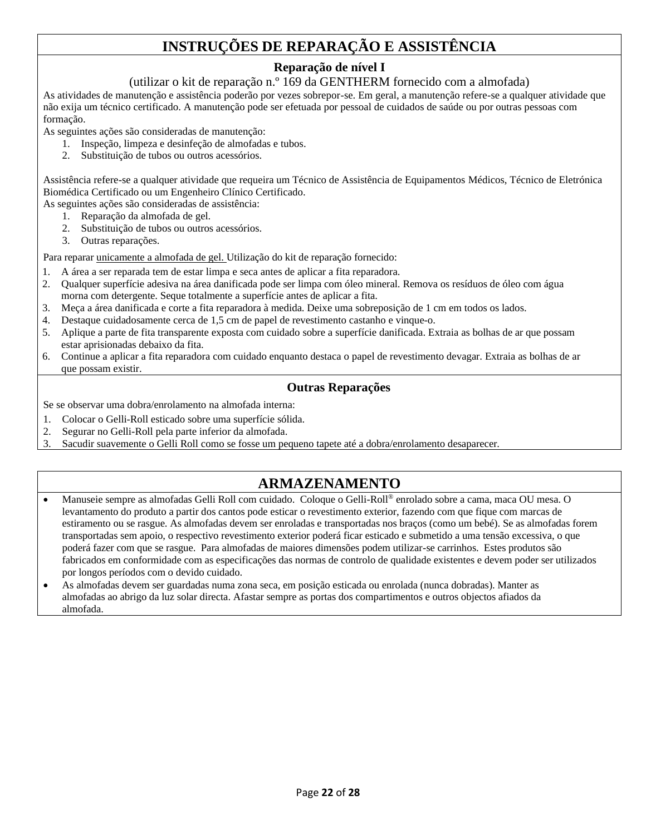## **INSTRUÇÕES DE REPARAÇÃO E ASSISTÊNCIA**

## **Reparação de nível I**

#### (utilizar o kit de reparação n.º 169 da GENTHERM fornecido com a almofada)

As atividades de manutenção e assistência poderão por vezes sobrepor-se. Em geral, a manutenção refere-se a qualquer atividade que não exija um técnico certificado. A manutenção pode ser efetuada por pessoal de cuidados de saúde ou por outras pessoas com formação.

As seguintes ações são consideradas de manutenção:

- 1. Inspeção, limpeza e desinfeção de almofadas e tubos.
- 2. Substituição de tubos ou outros acessórios.

Assistência refere-se a qualquer atividade que requeira um Técnico de Assistência de Equipamentos Médicos, Técnico de Eletrónica Biomédica Certificado ou um Engenheiro Clínico Certificado.

As seguintes ações são consideradas de assistência:

- 1. Reparação da almofada de gel.
- 2. Substituição de tubos ou outros acessórios.
- 3. Outras reparações.

Para reparar unicamente a almofada de gel. Utilização do kit de reparação fornecido:

- 1. A área a ser reparada tem de estar limpa e seca antes de aplicar a fita reparadora.
- 2. Qualquer superfície adesiva na área danificada pode ser limpa com óleo mineral. Remova os resíduos de óleo com água morna com detergente. Seque totalmente a superfície antes de aplicar a fita.
- 3. Meça a área danificada e corte a fita reparadora à medida. Deixe uma sobreposição de 1 cm em todos os lados.
- 4. Destaque cuidadosamente cerca de 1,5 cm de papel de revestimento castanho e vinque-o.
- 5. Aplique a parte de fita transparente exposta com cuidado sobre a superfície danificada. Extraia as bolhas de ar que possam estar aprisionadas debaixo da fita.
- 6. Continue a aplicar a fita reparadora com cuidado enquanto destaca o papel de revestimento devagar. Extraia as bolhas de ar que possam existir.

#### **Outras Reparações**

Se se observar uma dobra/enrolamento na almofada interna:

- 1. Colocar o Gelli-Roll esticado sobre uma superfície sólida.
- 2. Segurar no Gelli-Roll pela parte inferior da almofada.
- 3. Sacudir suavemente o Gelli Roll como se fosse um pequeno tapete até a dobra/enrolamento desaparecer.

## **ARMAZENAMENTO**

- Manuseie sempre as almofadas Gelli Roll com cuidado. Coloque o Gelli-Roll® enrolado sobre a cama, maca OU mesa. O levantamento do produto a partir dos cantos pode esticar o revestimento exterior, fazendo com que fique com marcas de estiramento ou se rasgue. As almofadas devem ser enroladas e transportadas nos braços (como um bebé). Se as almofadas forem transportadas sem apoio, o respectivo revestimento exterior poderá ficar esticado e submetido a uma tensão excessiva, o que poderá fazer com que se rasgue. Para almofadas de maiores dimensões podem utilizar-se carrinhos. Estes produtos são fabricados em conformidade com as especificações das normas de controlo de qualidade existentes e devem poder ser utilizados por longos períodos com o devido cuidado.
- As almofadas devem ser guardadas numa zona seca, em posição esticada ou enrolada (nunca dobradas). Manter as almofadas ao abrigo da luz solar directa. Afastar sempre as portas dos compartimentos e outros objectos afiados da almofada.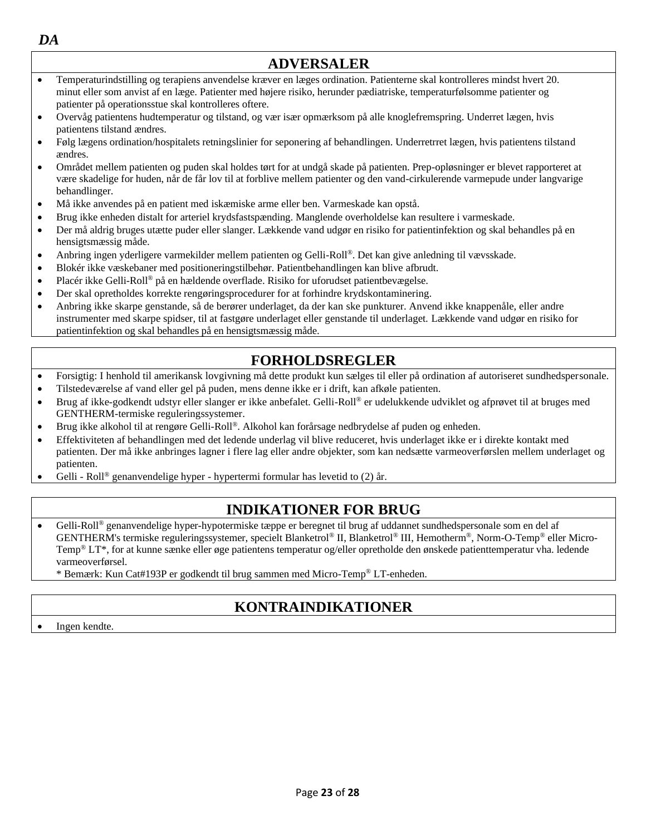| DA                    |                                                                                                                                                                                                                                                                                                                          |  |
|-----------------------|--------------------------------------------------------------------------------------------------------------------------------------------------------------------------------------------------------------------------------------------------------------------------------------------------------------------------|--|
| <b>ADVERSALER</b>     |                                                                                                                                                                                                                                                                                                                          |  |
| $\bullet$             | Temperaturindstilling og terapiens anvendelse kræver en læges ordination. Patienterne skal kontrolleres mindst hvert 20.<br>minut eller som anvist af en læge. Patienter med højere risiko, herunder pædiatriske, temperaturfølsomme patienter og                                                                        |  |
|                       | patienter på operationsstue skal kontrolleres oftere.                                                                                                                                                                                                                                                                    |  |
| $\bullet$             | Overvåg patientens hudtemperatur og tilstand, og vær især opmærksom på alle knoglefremspring. Underret lægen, hvis<br>patientens tilstand ændres.                                                                                                                                                                        |  |
| $\bullet$             | Følg lægens ordination/hospitalets retningslinier for seponering af behandlingen. Underretrret lægen, hvis patientens tilstand<br>ændres.                                                                                                                                                                                |  |
| $\bullet$             | Området mellem patienten og puden skal holdes tørt for at undgå skade på patienten. Prep-opløsninger er blevet rapporteret at<br>være skadelige for huden, når de får lov til at forblive mellem patienter og den vand-cirkulerende varmepude under langvarige<br>behandlinger.                                          |  |
| $\bullet$             | Må ikke anvendes på en patient med iskæmiske arme eller ben. Varmeskade kan opstå.                                                                                                                                                                                                                                       |  |
| $\bullet$             | Brug ikke enheden distalt for arteriel krydsfastspænding. Manglende overholdelse kan resultere i varmeskade.                                                                                                                                                                                                             |  |
| $\bullet$             | Der må aldrig bruges utætte puder eller slanger. Lækkende vand udgør en risiko for patientinfektion og skal behandles på en<br>hensigtsmæssig måde.                                                                                                                                                                      |  |
| $\bullet$             | Anbring ingen yderligere varmekilder mellem patienten og Gelli-Roll®. Det kan give anledning til vævsskade.                                                                                                                                                                                                              |  |
| $\bullet$             | Blokér ikke væskebaner med positioneringstilbehør. Patientbehandlingen kan blive afbrudt.                                                                                                                                                                                                                                |  |
| $\bullet$             | Placér ikke Gelli-Roll® på en hældende overflade. Risiko for uforudset patientbevægelse.                                                                                                                                                                                                                                 |  |
| $\bullet$             | Der skal opretholdes korrekte rengøringsprocedurer for at forhindre krydskontaminering.                                                                                                                                                                                                                                  |  |
| $\bullet$             | Anbring ikke skarpe genstande, så de berører underlaget, da der kan ske punkturer. Anvend ikke knappenåle, eller andre<br>instrumenter med skarpe spidser, til at fastgøre underlaget eller genstande til underlaget. Lækkende vand udgør en risiko for<br>patientinfektion og skal behandles på en hensigtsmæssig måde. |  |
| <b>FORHOLDSREGLER</b> |                                                                                                                                                                                                                                                                                                                          |  |
| $\bullet$             | Forsigtig: I henhold til amerikansk lovgivning må dette produkt kun sælges til eller på ordination af autoriseret sundhedspersonale.                                                                                                                                                                                     |  |

- Tilstedeværelse af vand eller gel på puden, mens denne ikke er i drift, kan afkøle patienten.
- Brug af ikke-godkendt udstyr eller slanger er ikke anbefalet. Gelli-Roll® er udelukkende udviklet og afprøvet til at bruges med GENTHERM-termiske reguleringssystemer.
- Brug ikke alkohol til at rengøre Gelli-Roll®. Alkohol kan forårsage nedbrydelse af puden og enheden.
- Effektiviteten af behandlingen med det ledende underlag vil blive reduceret, hvis underlaget ikke er i direkte kontakt med patienten. Der må ikke anbringes lagner i flere lag eller andre objekter, som kan nedsætte varmeoverførslen mellem underlaget og patienten.
- Gelli Roll® genanvendelige hyper hypertermi formular has levetid to (2) år.

## **INDIKATIONER FOR BRUG**

• Gelli-Roll® genanvendelige hyper-hypotermiske tæppe er beregnet til brug af uddannet sundhedspersonale som en del af GENTHERM's termiske reguleringssystemer, specielt Blanketrol® II, Blanketrol® III, Hemotherm®, Norm-O-Temp® eller Micro-Temp® LT\*, for at kunne sænke eller øge patientens temperatur og/eller opretholde den ønskede patienttemperatur vha. ledende varmeoverførsel.

\* Bemærk: Kun Cat#193P er godkendt til brug sammen med Micro-Temp® LT-enheden.

## **KONTRAINDIKATIONER**

• Ingen kendte.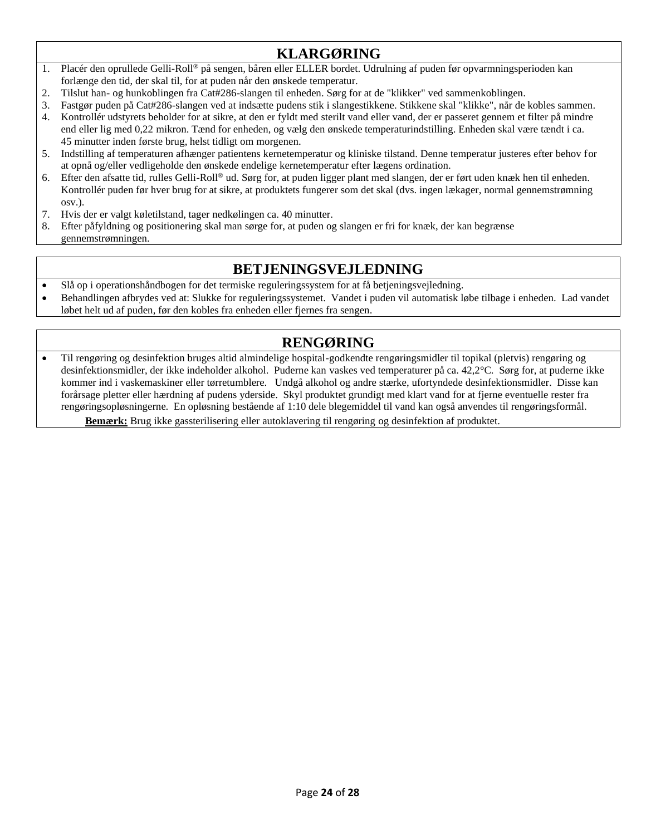## **KLARGØRING**

- 1. Placér den oprullede Gelli-Roll® på sengen, båren eller ELLER bordet. Udrulning af puden før opvarmningsperioden kan forlænge den tid, der skal til, for at puden når den ønskede temperatur.
- 2. Tilslut han- og hunkoblingen fra Cat#286-slangen til enheden. Sørg for at de "klikker" ved sammenkoblingen.
- 3. Fastgør puden på Cat#286-slangen ved at indsætte pudens stik i slangestikkene. Stikkene skal "klikke", når de kobles sammen.
- 4. Kontrollér udstyrets beholder for at sikre, at den er fyldt med sterilt vand eller vand, der er passeret gennem et filter på mindre end eller lig med 0,22 mikron. Tænd for enheden, og vælg den ønskede temperaturindstilling. Enheden skal være tændt i ca. 45 minutter inden første brug, helst tidligt om morgenen.
- 5. Indstilling af temperaturen afhænger patientens kernetemperatur og kliniske tilstand. Denne temperatur justeres efter behov for at opnå og/eller vedligeholde den ønskede endelige kernetemperatur efter lægens ordination.
- 6. Efter den afsatte tid, rulles Gelli-Roll® ud. Sørg for, at puden ligger plant med slangen, der er ført uden knæk hen til enheden. Kontrollér puden før hver brug for at sikre, at produktets fungerer som det skal (dvs. ingen lækager, normal gennemstrømning osv.).
- 7. Hvis der er valgt køletilstand, tager nedkølingen ca. 40 minutter.
- 8. Efter påfyldning og positionering skal man sørge for, at puden og slangen er fri for knæk, der kan begrænse gennemstrømningen.

## **BETJENINGSVEJLEDNING**

- Slå op i operationshåndbogen for det termiske reguleringssystem for at få betjeningsvejledning.
- Behandlingen afbrydes ved at: Slukke for reguleringssystemet. Vandet i puden vil automatisk løbe tilbage i enheden. Lad vandet løbet helt ud af puden, før den kobles fra enheden eller fjernes fra sengen.

## **RENGØRING**

• Til rengøring og desinfektion bruges altid almindelige hospital-godkendte rengøringsmidler til topikal (pletvis) rengøring og desinfektionsmidler, der ikke indeholder alkohol. Puderne kan vaskes ved temperaturer på ca. 42,2°C. Sørg for, at puderne ikke kommer ind i vaskemaskiner eller tørretumblere. Undgå alkohol og andre stærke, ufortyndede desinfektionsmidler. Disse kan forårsage pletter eller hærdning af pudens yderside. Skyl produktet grundigt med klart vand for at fjerne eventuelle rester fra rengøringsopløsningerne. En opløsning bestående af 1:10 dele blegemiddel til vand kan også anvendes til rengøringsformål. **Bemærk:** Brug ikke gassterilisering eller autoklavering til rengøring og desinfektion af produktet.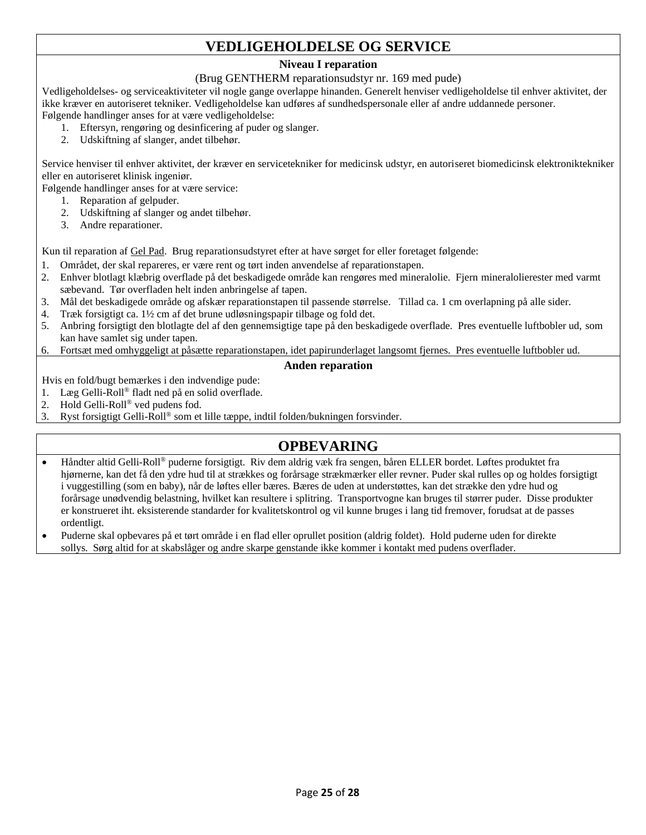## **VEDLIGEHOLDELSE OG SERVICE**

#### **Niveau I reparation**

#### (Brug GENTHERM reparationsudstyr nr. 169 med pude)

Vedligeholdelses- og serviceaktiviteter vil nogle gange overlappe hinanden. Generelt henviser vedligeholdelse til enhver aktivitet, der ikke kræver en autoriseret tekniker. Vedligeholdelse kan udføres af sundhedspersonale eller af andre uddannede personer. Følgende handlinger anses for at være vedligeholdelse:

1. Eftersyn, rengøring og desinficering af puder og slanger.

2. Udskiftning af slanger, andet tilbehør.

Service henviser til enhver aktivitet, der kræver en servicetekniker for medicinsk udstyr, en autoriseret biomedicinsk elektroniktekniker eller en autoriseret klinisk ingeniør.

Følgende handlinger anses for at være service:

- 1. Reparation af gelpuder.
- 2. Udskiftning af slanger og andet tilbehør.
- 3. Andre reparationer.

Kun til reparation af Gel Pad. Brug reparationsudstyret efter at have sørget for eller foretaget følgende:

- 1. Området, der skal repareres, er være rent og tørt inden anvendelse af reparationstapen.
- 2. Enhver blotlagt klæbrig overflade på det beskadigede område kan rengøres med mineralolie. Fjern mineralolierester med varmt sæbevand. Tør overfladen helt inden anbringelse af tapen.
- 3. Mål det beskadigede område og afskær reparationstapen til passende størrelse. Tillad ca. 1 cm overlapning på alle sider.
- 4. Træk forsigtigt ca. 1½ cm af det brune udløsningspapir tilbage og fold det.
- 5. Anbring forsigtigt den blotlagte del af den gennemsigtige tape på den beskadigede overflade. Pres eventuelle luftbobler ud, som kan have samlet sig under tapen.
- 6. Fortsæt med omhyggeligt at påsætte reparationstapen, idet papirunderlaget langsomt fjernes. Pres eventuelle luftbobler ud.

#### **Anden reparation**

Hvis en fold/bugt bemærkes i den indvendige pude:

- 1. Læg Gelli-Roll® fladt ned på en solid overflade.
- 2. Hold Gelli-Roll® ved pudens fod.
- 3. Ryst forsigtigt Gelli-Roll® som et lille tæppe, indtil folden/bukningen forsvinder.

## **OPBEVARING**

- Håndter altid Gelli-Roll® puderne forsigtigt. Riv dem aldrig væk fra sengen, båren ELLER bordet. Løftes produktet fra hjørnerne, kan det få den ydre hud til at strækkes og forårsage strækmærker eller revner. Puder skal rulles op og holdes forsigtigt i vuggestilling (som en baby), når de løftes eller bæres. Bæres de uden at understøttes, kan det strække den ydre hud og forårsage unødvendig belastning, hvilket kan resultere i splitring. Transportvogne kan bruges til størrer puder. Disse produkter er konstrueret iht. eksisterende standarder for kvalitetskontrol og vil kunne bruges i lang tid fremover, forudsat at de passes ordentligt.
- Puderne skal opbevares på et tørt område i en flad eller oprullet position (aldrig foldet). Hold puderne uden for direkte sollys. Sørg altid for at skabslåger og andre skarpe genstande ikke kommer i kontakt med pudens overflader.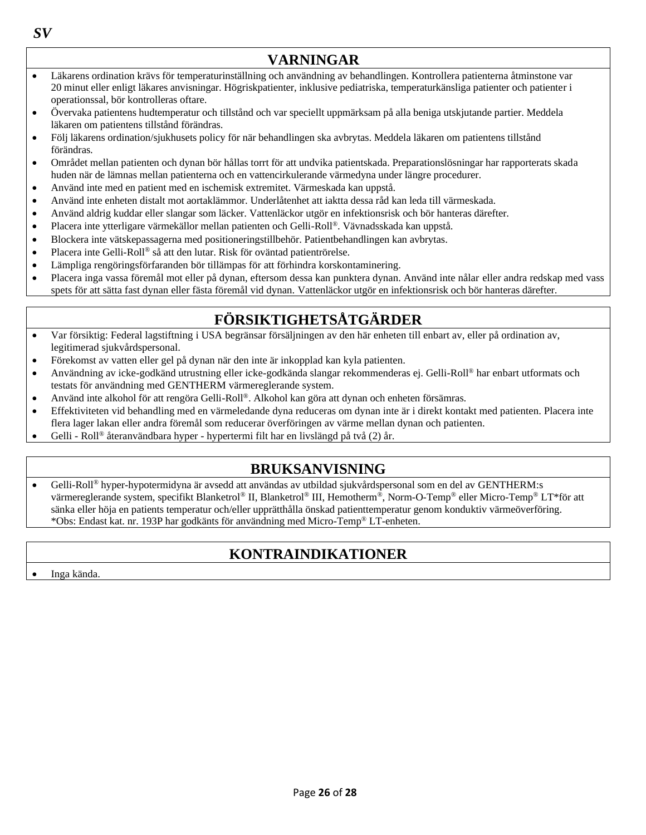**VARNINGAR** • Läkarens ordination krävs för temperaturinställning och användning av behandlingen. Kontrollera patienterna åtminstone var

- 20 minut eller enligt läkares anvisningar. Högriskpatienter, inklusive pediatriska, temperaturkänsliga patienter och patienter i operationssal, bör kontrolleras oftare.
- Övervaka patientens hudtemperatur och tillstånd och var speciellt uppmärksam på alla beniga utskjutande partier. Meddela läkaren om patientens tillstånd förändras.
- Följ läkarens ordination/sjukhusets policy för när behandlingen ska avbrytas. Meddela läkaren om patientens tillstånd förändras.
- Området mellan patienten och dynan bör hållas torrt för att undvika patientskada. Preparationslösningar har rapporterats skada huden när de lämnas mellan patienterna och en vattencirkulerande värmedyna under längre procedurer.
- Använd inte med en patient med en ischemisk extremitet. Värmeskada kan uppstå.
- Använd inte enheten distalt mot aortaklämmor. Underlåtenhet att iaktta dessa råd kan leda till värmeskada.
- Använd aldrig kuddar eller slangar som läcker. Vattenläckor utgör en infektionsrisk och bör hanteras därefter.
- Placera inte ytterligare värmekällor mellan patienten och Gelli-Roll®. Vävnadsskada kan uppstå.
- Blockera inte vätskepassagerna med positioneringstillbehör. Patientbehandlingen kan avbrytas.
- Placera inte Gelli-Roll® så att den lutar. Risk för oväntad patientrörelse.
- Lämpliga rengöringsförfaranden bör tillämpas för att förhindra korskontaminering.
- Placera inga vassa föremål mot eller på dynan, eftersom dessa kan punktera dynan. Använd inte nålar eller andra redskap med vass spets för att sätta fast dynan eller fästa föremål vid dynan. Vattenläckor utgör en infektionsrisk och bör hanteras därefter.

## **FÖRSIKTIGHETSÅTGÄRDER**

- Var försiktig: Federal lagstiftning i USA begränsar försäljningen av den här enheten till enbart av, eller på ordination av, legitimerad sjukvårdspersonal.
- Förekomst av vatten eller gel på dynan när den inte är inkopplad kan kyla patienten.
- Användning av icke-godkänd utrustning eller icke-godkända slangar rekommenderas ej. Gelli-Roll® har enbart utformats och testats för användning med GENTHERM värmereglerande system.
- Använd inte alkohol för att rengöra Gelli-Roll®. Alkohol kan göra att dynan och enheten försämras.
- Effektiviteten vid behandling med en värmeledande dyna reduceras om dynan inte är i direkt kontakt med patienten. Placera inte flera lager lakan eller andra föremål som reducerar överföringen av värme mellan dynan och patienten.
- Gelli Roll<sup>®</sup> återanvändbara hyper hypertermi filt har en livslängd på två (2) år.

## **BRUKSANVISNING**

• Gelli-Roll® hyper-hypotermidyna är avsedd att användas av utbildad sjukvårdspersonal som en del av GENTHERM:s värmereglerande system, specifikt Blanketrol® II, Blanketrol® III, Hemotherm®, Norm-O-Temp® eller Micro-Temp® LT\*för att sänka eller höja en patients temperatur och/eller upprätthålla önskad patienttemperatur genom konduktiv värmeöverföring. \*Obs: Endast kat. nr. 193P har godkänts för användning med Micro-Temp® LT-enheten.

## **KONTRAINDIKATIONER**

• Inga kända.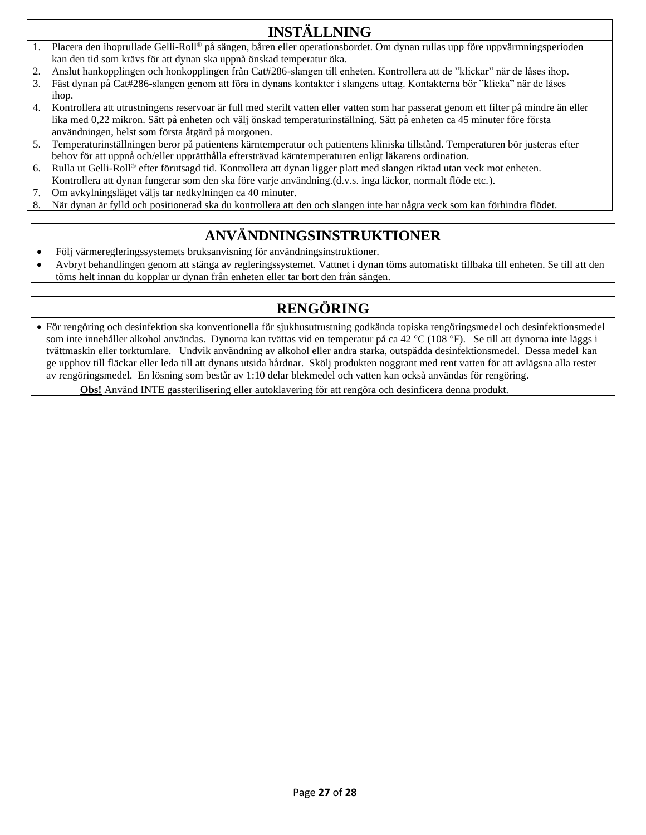## **INSTÄLLNING**

- 1. Placera den ihoprullade Gelli-Roll® på sängen, båren eller operationsbordet. Om dynan rullas upp före uppvärmningsperioden kan den tid som krävs för att dynan ska uppnå önskad temperatur öka.
- 2. Anslut hankopplingen och honkopplingen från Cat#286-slangen till enheten. Kontrollera att de "klickar" när de låses ihop.
- 3. Fäst dynan på Cat#286-slangen genom att föra in dynans kontakter i slangens uttag. Kontakterna bör "klicka" när de låses ihop.
- 4. Kontrollera att utrustningens reservoar är full med sterilt vatten eller vatten som har passerat genom ett filter på mindre än eller lika med 0,22 mikron. Sätt på enheten och välj önskad temperaturinställning. Sätt på enheten ca 45 minuter före första användningen, helst som första åtgärd på morgonen.
- 5. Temperaturinställningen beror på patientens kärntemperatur och patientens kliniska tillstånd. Temperaturen bör justeras efter behov för att uppnå och/eller upprätthålla eftersträvad kärntemperaturen enligt läkarens ordination.
- 6. Rulla ut Gelli-Roll® efter förutsagd tid. Kontrollera att dynan ligger platt med slangen riktad utan veck mot enheten. Kontrollera att dynan fungerar som den ska före varje användning.(d.v.s. inga läckor, normalt flöde etc.).
- 7. Om avkylningsläget väljs tar nedkylningen ca 40 minuter.
- 8. När dynan är fylld och positionerad ska du kontrollera att den och slangen inte har några veck som kan förhindra flödet.

## **ANVÄNDNINGSINSTRUKTIONER**

- Följ värmeregleringssystemets bruksanvisning för användningsinstruktioner.
- Avbryt behandlingen genom att stänga av regleringssystemet. Vattnet i dynan töms automatiskt tillbaka till enheten. Se till att den töms helt innan du kopplar ur dynan från enheten eller tar bort den från sängen.

## **RENGÖRING**

• För rengöring och desinfektion ska konventionella för sjukhusutrustning godkända topiska rengöringsmedel och desinfektionsmedel som inte innehåller alkohol användas. Dynorna kan tvättas vid en temperatur på ca 42 °C (108 °F). Se till att dynorna inte läggs i tvättmaskin eller torktumlare. Undvik användning av alkohol eller andra starka, outspädda desinfektionsmedel. Dessa medel kan ge upphov till fläckar eller leda till att dynans utsida hårdnar. Skölj produkten noggrant med rent vatten för att avlägsna alla rester av rengöringsmedel. En lösning som består av 1:10 delar blekmedel och vatten kan också användas för rengöring.

**Obs!** Använd INTE gassterilisering eller autoklavering för att rengöra och desinficera denna produkt.